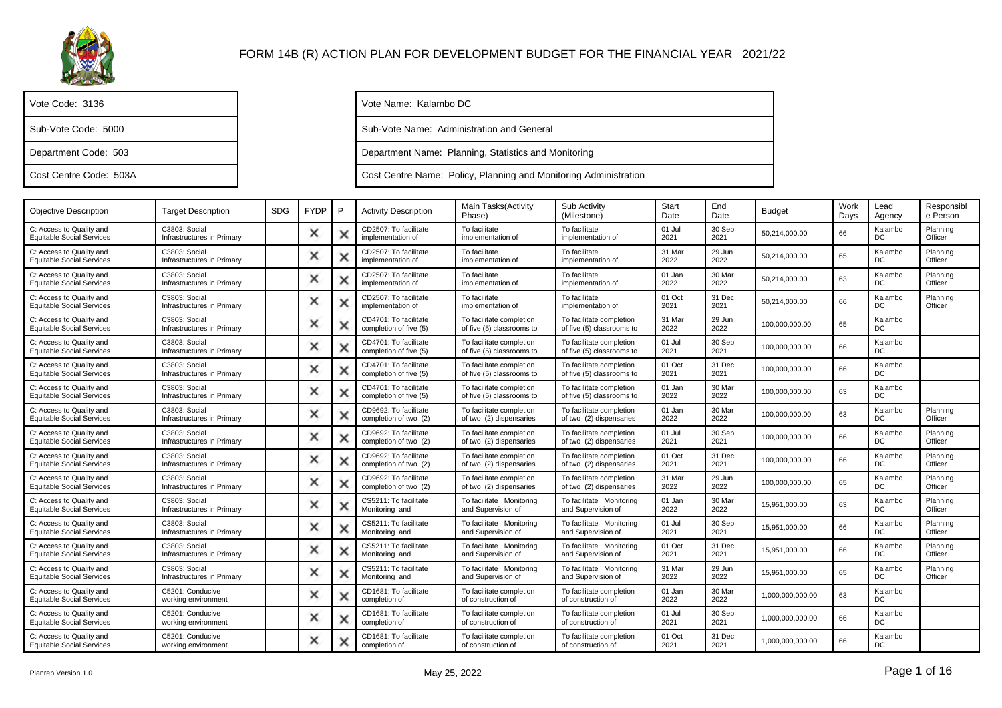

| Vote Code: 3136        |
|------------------------|
| Sub-Vote Code: 5000    |
| Department Code: 503   |
| Cost Centre Code: 503A |

Vote Name: Kalambo DC

Sub-Vote Name: Administration and General

Department Name: Planning, Statistics and Monitoring

Cost Centre Name: Policy, Planning and Monitoring Administration

| <b>Objective Description</b>                                 | Target Description                          | <b>SDG</b> | <b>FYDP</b> | P | <b>Activity Description</b>                     | Main Tasks (Activity<br>Phase)                        | Sub Activity<br>(Milestone)                           | Start<br>Date  | End<br>Date    | <b>Budget</b>    | Work<br>Days | Lead<br>Agency | Responsibl<br>e Person |
|--------------------------------------------------------------|---------------------------------------------|------------|-------------|---|-------------------------------------------------|-------------------------------------------------------|-------------------------------------------------------|----------------|----------------|------------------|--------------|----------------|------------------------|
| C: Access to Quality and<br><b>Equitable Social Services</b> | C3803: Social<br>Infrastructures in Primary |            | ×           |   | CD2507: To facilitate<br>implementation of      | To facilitate<br>implementation of                    | To facilitate<br>implementation of                    | 01 Jul<br>2021 | 30 Sep<br>2021 | 50.214.000.00    | 66           | Kalambo<br>DC  | Planning<br>Officer    |
| C: Access to Quality and<br><b>Equitable Social Services</b> | C3803: Social<br>Infrastructures in Primary |            | ×           |   | CD2507: To facilitate<br>implementation of      | To facilitate<br>implementation of                    | To facilitate<br>implementation of                    | 31 Mar<br>2022 | 29 Jun<br>2022 | 50,214,000.00    | 65           | Kalambo<br>DC  | Planning<br>Officer    |
| C: Access to Quality and<br><b>Equitable Social Services</b> | C3803: Social<br>Infrastructures in Primary |            | ×           |   | CD2507: To facilitate<br>implementation of      | To facilitate<br>implementation of                    | To facilitate<br>implementation of                    | 01 Jan<br>2022 | 30 Mar<br>2022 | 50,214,000.00    | 63           | Kalambo<br>DC  | Planning<br>Officer    |
| C: Access to Quality and<br><b>Equitable Social Services</b> | C3803: Social<br>Infrastructures in Primary |            | ×           |   | CD2507: To facilitate<br>implementation of      | To facilitate<br>implementation of                    | To facilitate<br>implementation of                    | 01 Oct<br>2021 | 31 Dec<br>2021 | 50,214,000.00    | 66           | Kalambo<br>DC. | Planning<br>Officer    |
| C: Access to Quality and<br><b>Equitable Social Services</b> | C3803: Social<br>Infrastructures in Primary |            | ×           |   | CD4701: To facilitate<br>completion of five (5) | To facilitate completion<br>of five (5) classrooms to | To facilitate completion<br>of five (5) classrooms to | 31 Mar<br>2022 | 29 Jun<br>2022 | 100,000,000.00   | 65           | Kalambo<br>DC  |                        |
| C: Access to Quality and<br><b>Equitable Social Services</b> | C3803: Social<br>Infrastructures in Primary |            | ×           |   | CD4701: To facilitate<br>completion of five (5) | To facilitate completion<br>of five (5) classrooms to | To facilitate completion<br>of five (5) classrooms to | 01 Jul<br>2021 | 30 Sep<br>2021 | 100,000,000.00   | 66           | Kalambo<br>DC  |                        |
| C: Access to Quality and<br><b>Equitable Social Services</b> | C3803: Social<br>Infrastructures in Primary |            | ×           |   | CD4701: To facilitate<br>completion of five (5) | To facilitate completion<br>of five (5) classrooms to | To facilitate completion<br>of five (5) classrooms to | 01 Oct<br>2021 | 31 Dec<br>2021 | 100,000,000.00   | 66           | Kalambo<br>DC  |                        |
| C: Access to Quality and<br><b>Equitable Social Services</b> | C3803: Social<br>Infrastructures in Primary |            | ×           |   | CD4701: To facilitate<br>completion of five (5) | To facilitate completion<br>of five (5) classrooms to | To facilitate completion<br>of five (5) classrooms to | 01 Jan<br>2022 | 30 Mar<br>2022 | 100,000,000.00   | 63           | Kalambo<br>DC  |                        |
| C: Access to Quality and<br><b>Equitable Social Services</b> | C3803: Social<br>Infrastructures in Primary |            | ×           |   | CD9692: To facilitate<br>completion of two (2)  | To facilitate completion<br>of two (2) dispensaries   | To facilitate completion<br>of two (2) dispensaries   | 01 Jan<br>2022 | 30 Mar<br>2022 | 100,000,000.00   | 63           | Kalambo<br>DC  | Planning<br>Officer    |
| C: Access to Quality and<br><b>Equitable Social Services</b> | C3803: Social<br>Infrastructures in Primary |            | ×           |   | CD9692: To facilitate<br>completion of two (2)  | To facilitate completion<br>of two (2) dispensaries   | To facilitate completion<br>of two (2) dispensaries   | 01 Jul<br>2021 | 30 Sep<br>2021 | 100,000,000.00   | 66           | Kalambo<br>DC  | Planning<br>Officer    |
| C: Access to Quality and<br><b>Equitable Social Services</b> | C3803: Social<br>Infrastructures in Primary |            | ×           |   | CD9692: To facilitate<br>completion of two (2)  | To facilitate completion<br>of two (2) dispensaries   | To facilitate completion<br>of two (2) dispensaries   | 01 Oct<br>2021 | 31 Dec<br>2021 | 100,000,000.00   | 66           | Kalambo<br>DC  | Planning<br>Officer    |
| C: Access to Quality and<br><b>Equitable Social Services</b> | C3803: Social<br>Infrastructures in Primary |            | ×           |   | CD9692: To facilitate<br>completion of two (2)  | To facilitate completion<br>of two (2) dispensaries   | To facilitate completion<br>of two (2) dispensaries   | 31 Mar<br>2022 | 29 Jun<br>2022 | 100,000,000.00   | 65           | Kalambo<br>DC  | Planning<br>Officer    |
| C: Access to Quality and<br><b>Equitable Social Services</b> | C3803: Social<br>Infrastructures in Primary |            | ×           |   | CS5211: To facilitate<br>Monitoring and         | To facilitate Monitoring<br>and Supervision of        | To facilitate Monitoring<br>and Supervision of        | 01 Jan<br>2022 | 30 Mar<br>2022 | 15,951,000.00    | 63           | Kalambo<br>DC  | Planning<br>Officer    |
| C: Access to Quality and<br><b>Equitable Social Services</b> | C3803: Social<br>Infrastructures in Primary |            | $\times$    |   | CS5211: To facilitate<br>Monitoring and         | To facilitate Monitoring<br>and Supervision of        | To facilitate Monitoring<br>and Supervision of        | 01 Jul<br>2021 | 30 Sep<br>2021 | 15,951,000.00    | 66           | Kalambo<br>DC  | Planning<br>Officer    |
| C: Access to Quality and<br><b>Equitable Social Services</b> | C3803: Social<br>Infrastructures in Primary |            | ×           |   | CS5211: To facilitate<br>Monitoring and         | To facilitate Monitoring<br>and Supervision of        | To facilitate Monitoring<br>and Supervision of        | 01 Oct<br>2021 | 31 Dec<br>2021 | 15.951.000.00    | 66           | Kalambo<br>DC  | Planning<br>Officer    |
| C: Access to Quality and<br><b>Equitable Social Services</b> | C3803: Social<br>Infrastructures in Primary |            | ×           |   | CS5211: To facilitate<br>Monitoring and         | To facilitate Monitoring<br>and Supervision of        | To facilitate Monitoring<br>and Supervision of        | 31 Mar<br>2022 | 29 Jun<br>2022 | 15,951,000.00    | 65           | Kalambo<br>DC  | Planning<br>Officer    |
| C: Access to Quality and<br><b>Equitable Social Services</b> | C5201: Conducive<br>working environment     |            | ×           |   | CD1681: To facilitate<br>completion of          | To facilitate completion<br>of construction of        | To facilitate completion<br>of construction of        | 01 Jan<br>2022 | 30 Mar<br>2022 | 1,000,000,000.00 | 63           | Kalambo<br>DC  |                        |
| C: Access to Quality and<br><b>Equitable Social Services</b> | C5201: Conducive<br>working environment     |            | ×           |   | CD1681: To facilitate<br>completion of          | To facilitate completion<br>of construction of        | To facilitate completion<br>of construction of        | 01 Jul<br>2021 | 30 Sep<br>2021 | 1,000,000,000.00 | 66           | Kalambo<br>DC  |                        |
| C: Access to Quality and<br><b>Equitable Social Services</b> | C5201: Conducive<br>working environment     |            | ×           |   | CD1681: To facilitate<br>completion of          | To facilitate completion<br>of construction of        | To facilitate completion<br>of construction of        | 01 Oct<br>2021 | 31 Dec<br>2021 | 1,000,000,000.00 | 66           | Kalambo<br>DC  |                        |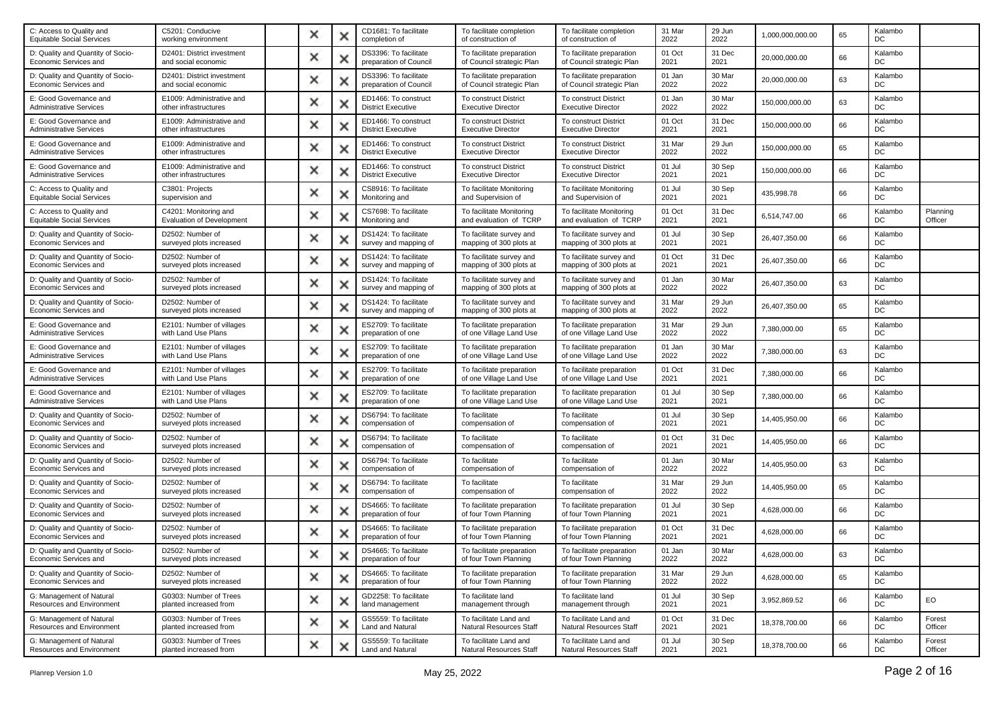| C5201: Conducive<br>working environment                   | × |   | CD1681: To facilitate<br>completion of            | To facilitate completion<br>of construction of         | To facilitate completion<br>of construction of            | 31 Mar<br>2022 | 29 Jun<br>2022 | 1,000,000,000.00 | 65 | Kalambo<br>DC  |                     |
|-----------------------------------------------------------|---|---|---------------------------------------------------|--------------------------------------------------------|-----------------------------------------------------------|----------------|----------------|------------------|----|----------------|---------------------|
| D2401: District investment<br>and social economic         | × | ж | DS3396: To facilitate<br>preparation of Council   | To facilitate preparation<br>of Council strategic Plan | To facilitate preparation<br>of Council strategic Plan    | 01 Oct<br>2021 | 31 Dec<br>2021 | 20,000,000.00    | 66 | Kalambo<br>DC  |                     |
| D2401: District investment<br>and social economic         | × | × | DS3396: To facilitate<br>preparation of Council   | To facilitate preparation<br>of Council strategic Plan | To facilitate preparation<br>of Council strategic Plan    | 01 Jan<br>2022 | 30 Mar<br>2022 | 20,000,000.00    | 63 | Kalambo<br>DC  |                     |
| E1009: Administrative and<br>other infrastructures        | × |   | ED1466: To construct<br><b>District Executive</b> | To construct District<br><b>Executive Director</b>     | <b>To construct District</b><br><b>Executive Director</b> | 01 Jan<br>2022 | 30 Mar<br>2022 | 150,000,000.00   | 63 | Kalambo<br>DC  |                     |
| E1009: Administrative and<br>other infrastructures        | × |   | ED1466: To construct<br><b>District Executive</b> | To construct District<br><b>Executive Director</b>     | To construct District<br><b>Executive Director</b>        | 01 Oct<br>2021 | 31 Dec<br>2021 | 150,000,000.00   | 66 | Kalambo<br>DC  |                     |
| E1009: Administrative and<br>other infrastructures        | × | Ж | ED1466: To construct<br><b>District Executive</b> | To construct District<br><b>Executive Director</b>     | <b>To construct District</b><br><b>Executive Director</b> | 31 Mar<br>2022 | 29 Jun<br>2022 | 150,000,000.00   | 65 | Kalambo<br>DC  |                     |
| E1009: Administrative and<br>other infrastructures        | × |   | ED1466: To construct<br><b>District Executive</b> | To construct District<br><b>Executive Director</b>     | To construct District<br><b>Executive Director</b>        | 01 Jul<br>2021 | 30 Sep<br>2021 | 150,000,000.00   | 66 | Kalambo<br>DC  |                     |
| C3801: Projects<br>supervision and                        | × |   | CS8916: To facilitate<br>Monitoring and           | To facilitate Monitoring<br>and Supervision of         | To facilitate Monitoring<br>and Supervision of            | 01 Jul<br>2021 | 30 Sep<br>2021 | 435,998.78       | 66 | Kalambo<br>DC  |                     |
| C4201: Monitoring and<br><b>Evaluation of Development</b> | × | × | CS7698: To facilitate<br>Monitoring and           | To facilitate Monitoring<br>and evaluation of TCRP     | To facilitate Monitoring<br>and evaluation of TCRP        | 01 Oct<br>2021 | 31 Dec<br>2021 | 6,514,747.00     | 66 | Kalambo<br>DC  | Planning<br>Officer |
| D2502: Number of<br>surveyed plots increased              | × |   | DS1424: To facilitate<br>survey and mapping of    | To facilitate survey and<br>mapping of 300 plots at    | To facilitate survey and<br>mapping of 300 plots at       | 01 Jul<br>2021 | 30 Sep<br>2021 | 26,407,350.00    | 66 | Kalambo<br>DC  |                     |
| D2502: Number of<br>surveyed plots increased              | × |   | DS1424: To facilitate<br>survey and mapping of    | To facilitate survey and<br>mapping of 300 plots at    | To facilitate survey and<br>mapping of 300 plots at       | 01 Oct<br>2021 | 31 Dec<br>2021 | 26,407,350.00    | 66 | Kalambo<br>DC  |                     |
| D2502: Number of<br>surveyed plots increased              | × | × | DS1424: To facilitate<br>survey and mapping of    | To facilitate survey and<br>mapping of 300 plots at    | To facilitate survey and<br>mapping of 300 plots at       | 01 Jan<br>2022 | 30 Mar<br>2022 | 26,407,350.00    | 63 | Kalambo<br>DC  |                     |
| D2502: Number of<br>surveyed plots increased              | × |   | DS1424: To facilitate<br>survey and mapping of    | To facilitate survey and<br>mapping of 300 plots at    | To facilitate survey and<br>mapping of 300 plots at       | 31 Mar<br>2022 | 29 Jun<br>2022 | 26,407,350.00    | 65 | Kalambo<br>DC  |                     |
| E2101: Number of villages<br>with Land Use Plans          | × |   | ES2709: To facilitate<br>preparation of one       | To facilitate preparation<br>of one Village Land Use   | To facilitate preparation<br>of one Village Land Use      | 31 Mar<br>2022 | 29 Jun<br>2022 | 7,380,000.00     | 65 | Kalambo<br>DC  |                     |
| E2101: Number of villages<br>with Land Use Plans          | × | × | ES2709: To facilitate<br>preparation of one       | To facilitate preparation<br>of one Village Land Use   | To facilitate preparation<br>of one Village Land Use      | 01 Jan<br>2022 | 30 Mar<br>2022 | 7,380,000.00     | 63 | Kalambo<br>DC  |                     |
| E2101: Number of villages<br>with Land Use Plans          | × |   | ES2709: To facilitate<br>preparation of one       | To facilitate preparation<br>of one Village Land Use   | To facilitate preparation<br>of one Village Land Use      | 01 Oct<br>2021 | 31 Dec<br>2021 | 7,380,000.00     | 66 | Kalambo<br>DC  |                     |
| E2101: Number of villages<br>with Land Use Plans          | × |   | ES2709: To facilitate<br>preparation of one       | To facilitate preparation<br>of one Village Land Use   | To facilitate preparation<br>of one Village Land Use      | 01 Jul<br>2021 | 30 Sep<br>2021 | 7,380,000.00     | 66 | Kalambo<br>DC  |                     |
| D2502: Number of<br>surveyed plots increased              | × | × | DS6794: To facilitate<br>compensation of          | To facilitate<br>compensation of                       | To facilitate<br>compensation of                          | 01 Jul<br>2021 | 30 Sep<br>2021 | 14,405,950.00    | 66 | Kalambo<br>DC  |                     |
| D2502: Number of<br>surveyed plots increased              | × |   | DS6794: To facilitate<br>compensation of          | To facilitate<br>compensation of                       | To facilitate<br>compensation of                          | 01 Oct<br>2021 | 31 Dec<br>2021 | 14,405,950.00    | 66 | Kalambo<br>DC  |                     |
| D2502: Number of<br>surveyed plots increased              | × |   | DS6794: To facilitate<br>compensation of          | To facilitate<br>compensation of                       | To facilitate<br>compensation of                          | 01 Jan<br>2022 | 30 Mar<br>2022 | 14,405,950.00    | 63 | Kalambo<br>DC  |                     |
| D2502: Number of<br>surveyed plots increased              | × | × | DS6794: To facilitate<br>compensation of          | To facilitate<br>compensation of                       | To facilitate<br>compensation of                          | 31 Mar<br>2022 | 29 Jun<br>2022 | 14,405,950.00    | 65 | Kalambo<br>DC  |                     |
| D2502: Number of<br>surveyed plots increased              | × |   | DS4665: To facilitate<br>preparation of four      | To facilitate preparation<br>of four Town Planning     | To facilitate preparation<br>of four Town Planning        | 01 Jul<br>2021 | 30 Sep<br>2021 | 4,628,000.00     | 66 | Kalambo<br>DC  |                     |
| D2502: Number of<br>surveyed plots increased              | × |   | DS4665: To facilitate<br>preparation of four      | To facilitate preparation<br>of four Town Planning     | To facilitate preparation<br>of four Town Planning        | 01 Oct<br>2021 | 31 Dec<br>2021 | 4,628,000.00     | 66 | Kalambo<br>DC  |                     |
| D2502: Number of<br>surveyed plots increased              |   |   | DS4665: To facilitate<br>preparation of four      | To facilitate preparation<br>of four Town Planning     | To facilitate preparation<br>of four Town Planning        | 01 Jan<br>2022 | 30 Mar<br>2022 | 4.628.000.00     | 63 | Kalambo<br>DC. |                     |
| D2502: Number of<br>surveyed plots increased              | × | × | DS4665: To facilitate<br>preparation of four      | To facilitate preparation<br>of four Town Planning     | To facilitate preparation<br>of four Town Planning        | 31 Mar<br>2022 | 29 Jun<br>2022 | 4,628,000.00     | 65 | Kalambo<br>DC  |                     |
| G0303: Number of Trees<br>planted increased from          | × | × | GD2258: To facilitate<br>land management          | To facilitate land<br>management through               | To facilitate land<br>management through                  | 01 Jul<br>2021 | 30 Sep<br>2021 | 3,952,869.52     | 66 | Kalambo<br>DC  | EO                  |
| G0303: Number of Trees<br>planted increased from          | × | × | GS5559: To facilitate<br>Land and Natural         | To facilitate Land and<br>Natural Resources Staff      | To facilitate Land and<br><b>Natural Resources Staff</b>  | 01 Oct<br>2021 | 31 Dec<br>2021 | 18,378,700.00    | 66 | Kalambo<br>DC  | Forest<br>Officer   |
| G0303: Number of Trees<br>planted increased from          | × |   | GS5559: To facilitate<br>Land and Natural         | To facilitate Land and<br>Natural Resources Staff      | To facilitate Land and<br>Natural Resources Staff         | 01 Jul<br>2021 | 30 Sep<br>2021 | 18,378,700.00    | 66 | Kalambo<br>DC  | Forest<br>Officer   |
|                                                           |   |   |                                                   |                                                        |                                                           |                |                |                  |    |                |                     |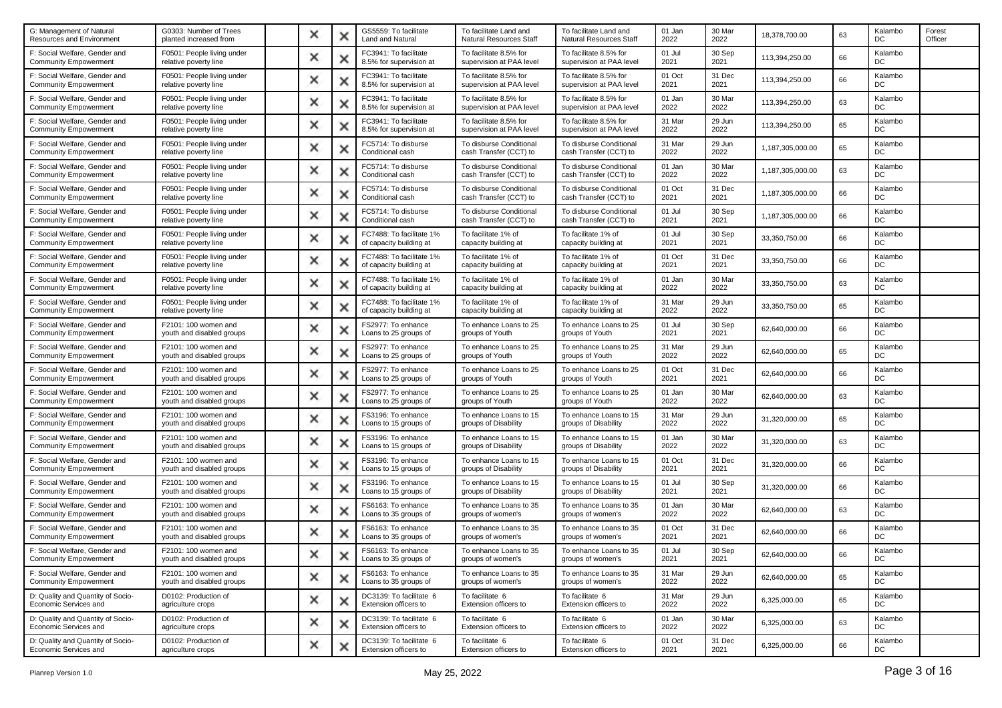| G0303: Number of Trees<br>planted increased from    | × |   | GS5559: To facilitate<br>Land and Natural           | To facilitate Land and<br>Natural Resources Staff  | To facilitate Land and<br>Natural Resources Staff  | 01 Jan<br>2022 | 30 Mar<br>2022 | 18,378,700.00    | 63 | Kalambo<br>DC | Forest<br>Officer |
|-----------------------------------------------------|---|---|-----------------------------------------------------|----------------------------------------------------|----------------------------------------------------|----------------|----------------|------------------|----|---------------|-------------------|
| F0501: People living under<br>relative poverty line | × |   | FC3941: To facilitate<br>8.5% for supervision at    | To facilitate 8.5% for<br>supervision at PAA level | To facilitate 8.5% for<br>supervision at PAA level | 01 Jul<br>2021 | 30 Sep<br>2021 | 113,394,250.00   | 66 | Kalambo<br>DC |                   |
| F0501: People living under<br>relative poverty line | × | × | FC3941: To facilitate<br>8.5% for supervision at    | To facilitate 8.5% for<br>supervision at PAA level | To facilitate 8.5% for<br>supervision at PAA level | 01 Oct<br>2021 | 31 Dec<br>2021 | 113,394,250.00   | 66 | Kalambo<br>DC |                   |
| F0501: People living under<br>relative poverty line | × |   | FC3941: To facilitate<br>8.5% for supervision at    | To facilitate 8.5% for<br>supervision at PAA level | To facilitate 8.5% for<br>supervision at PAA level | 01 Jan<br>2022 | 30 Mar<br>2022 | 113,394,250.00   | 63 | Kalambo<br>DC |                   |
| F0501: People living under<br>relative poverty line | × | х | FC3941: To facilitate<br>8.5% for supervision at    | To facilitate 8.5% for<br>supervision at PAA level | To facilitate 8.5% for<br>supervision at PAA level | 31 Mar<br>2022 | 29 Jun<br>2022 | 113,394,250.00   | 65 | Kalambo<br>DC |                   |
| F0501: People living under<br>relative poverty line | × | × | FC5714: To disburse<br>Conditional cash             | To disburse Conditional<br>cash Transfer (CCT) to  | To disburse Conditional<br>cash Transfer (CCT) to  | 31 Mar<br>2022 | 29 Jun<br>2022 | 1,187,305,000.00 | 65 | Kalambo<br>DC |                   |
| F0501: People living under<br>relative poverty line | × |   | FC5714: To disburse<br>Conditional cash             | To disburse Conditional<br>cash Transfer (CCT) to  | To disburse Conditional<br>cash Transfer (CCT) to  | 01 Jan<br>2022 | 30 Mar<br>2022 | 1,187,305,000.00 | 63 | Kalambo<br>DC |                   |
| F0501: People living under<br>relative poverty line | × |   | FC5714: To disburse<br>Conditional cash             | To disburse Conditional<br>cash Transfer (CCT) to  | To disburse Conditional<br>cash Transfer (CCT) to  | 01 Oct<br>2021 | 31 Dec<br>2021 | 1,187,305,000.00 | 66 | Kalambo<br>DC |                   |
| F0501: People living under<br>relative poverty line | × | × | FC5714: To disburse<br>Conditional cash             | To disburse Conditional<br>cash Transfer (CCT) to  | To disburse Conditional<br>cash Transfer (CCT) to  | 01 Jul<br>2021 | 30 Sep<br>2021 | 1,187,305,000.00 | 66 | Kalambo<br>DC |                   |
| F0501: People living under<br>relative poverty line | × |   | FC7488: To facilitate 1%<br>of capacity building at | To facilitate 1% of<br>capacity building at        | To facilitate 1% of<br>capacity building at        | 01 Jul<br>2021 | 30 Sep<br>2021 | 33,350,750.00    | 66 | Kalambo<br>DC |                   |
| F0501: People living under<br>relative poverty line | × |   | FC7488: To facilitate 1%<br>of capacity building at | To facilitate 1% of<br>capacity building at        | To facilitate 1% of<br>capacity building at        | 01 Oct<br>2021 | 31 Dec<br>2021 | 33.350.750.00    | 66 | Kalambo<br>DC |                   |
| F0501: People living under<br>relative poverty line | × | х | FC7488: To facilitate 1%<br>of capacity building at | To facilitate 1% of<br>capacity building at        | To facilitate 1% of<br>capacity building at        | 01 Jan<br>2022 | 30 Mar<br>2022 | 33,350,750.00    | 63 | Kalambo<br>DC |                   |
| F0501: People living under<br>relative poverty line | × |   | FC7488: To facilitate 1%<br>of capacity building at | To facilitate 1% of<br>capacity building at        | To facilitate 1% of<br>capacity building at        | 31 Mar<br>2022 | 29 Jun<br>2022 | 33,350,750.00    | 65 | Kalambo<br>DC |                   |
| F2101: 100 women and<br>youth and disabled groups   | × | ж | FS2977: To enhance<br>Loans to 25 groups of         | To enhance Loans to 25<br>groups of Youth          | To enhance Loans to 25<br>groups of Youth          | 01 Jul<br>2021 | 30 Sep<br>2021 | 62,640,000.00    | 66 | Kalambo<br>DC |                   |
| F2101: 100 women and<br>youth and disabled groups   | × | × | FS2977: To enhance<br>Loans to 25 groups of         | To enhance Loans to 25<br>groups of Youth          | To enhance Loans to 25<br>groups of Youth          | 31 Mar<br>2022 | 29 Jun<br>2022 | 62,640,000.00    | 65 | Kalambo<br>DC |                   |
| F2101: 100 women and<br>youth and disabled groups   | × |   | FS2977: To enhance<br>Loans to 25 groups of         | To enhance Loans to 25<br>groups of Youth          | To enhance Loans to 25<br>groups of Youth          | 01 Oct<br>2021 | 31 Dec<br>2021 | 62,640,000.00    | 66 | Kalambo<br>DC |                   |
| F2101: 100 women and<br>youth and disabled groups   | × | Ж | FS2977: To enhance<br>Loans to 25 groups of         | To enhance Loans to 25<br>groups of Youth          | To enhance Loans to 25<br>groups of Youth          | 01 Jan<br>2022 | 30 Mar<br>2022 | 62,640,000.00    | 63 | Kalambo<br>DC |                   |
| F2101: 100 women and<br>youth and disabled groups   | × | × | FS3196: To enhance<br>Loans to 15 groups of         | To enhance Loans to 15<br>groups of Disability     | To enhance Loans to 15<br>groups of Disability     | 31 Mar<br>2022 | 29 Jun<br>2022 | 31,320,000.00    | 65 | Kalambo<br>DC |                   |
| F2101: 100 women and<br>youth and disabled groups   | × |   | FS3196: To enhance<br>Loans to 15 groups of         | To enhance Loans to 15<br>groups of Disability     | To enhance Loans to 15<br>groups of Disability     | 01 Jan<br>2022 | 30 Mar<br>2022 | 31,320,000.00    | 63 | Kalambo<br>DC |                   |
| F2101: 100 women and<br>youth and disabled groups   | × |   | FS3196: To enhance<br>Loans to 15 groups of         | To enhance Loans to 15<br>groups of Disability     | To enhance Loans to 15<br>groups of Disability     | 01 Oct<br>2021 | 31 Dec<br>2021 | 31,320,000.00    | 66 | Kalambo<br>DC |                   |
| F2101: 100 women and<br>youth and disabled groups   | × | × | FS3196: To enhance<br>Loans to 15 groups of         | To enhance Loans to 15<br>groups of Disability     | To enhance Loans to 15<br>groups of Disability     | 01 Jul<br>2021 | 30 Sep<br>2021 | 31,320,000.00    | 66 | Kalambo<br>DC |                   |
| F2101: 100 women and<br>youth and disabled groups   | × |   | FS6163: To enhance<br>Loans to 35 groups of         | To enhance Loans to 35<br>groups of women's        | To enhance Loans to 35<br>groups of women's        | 01 Jan<br>2022 | 30 Mar<br>2022 | 62,640,000.00    | 63 | Kalambo<br>DC |                   |
| F2101: 100 women and<br>youth and disabled groups   | × |   | FS6163: To enhance<br>Loans to 35 groups of         | To enhance Loans to 35<br>groups of women's        | To enhance Loans to 35<br>groups of women's        | 01 Oct<br>2021 | 31 Dec<br>2021 | 62,640,000.00    | 66 | Kalambo<br>DC |                   |
| F2101: 100 women and<br>youth and disabled groups   |   |   | FS6163: To enhance<br>Loans to 35 groups of         | To enhance Loans to 35<br>groups of women's        | To enhance Loans to 35<br>groups of women's        | 01 Jul<br>2021 | 30 Sep<br>2021 | 62,640,000.00    | 66 | Kalambo<br>DC |                   |
| F2101: 100 women and<br>youth and disabled groups   | × | × | FS6163: To enhance<br>Loans to 35 groups of         | To enhance Loans to 35<br>groups of women's        | To enhance Loans to 35<br>groups of women's        | 31 Mar<br>2022 | 29 Jun<br>2022 | 62.640.000.00    | 65 | Kalambo<br>DC |                   |
| D0102: Production of<br>agriculture crops           | × | х | DC3139: To facilitate 6<br>Extension officers to    | To facilitate 6<br>Extension officers to           | To facilitate 6<br>Extension officers to           | 31 Mar<br>2022 | 29 Jun<br>2022 | 6,325,000.00     | 65 | Kalambo<br>DC |                   |
| D0102: Production of<br>agriculture crops           | × | × | DC3139: To facilitate 6<br>Extension officers to    | To facilitate 6<br>Extension officers to           | To facilitate 6<br>Extension officers to           | 01 Jan<br>2022 | 30 Mar<br>2022 | 6,325,000.00     | 63 | Kalambo<br>DC |                   |
| D0102: Production of<br>agriculture crops           | × |   | DC3139: To facilitate 6<br>Extension officers to    | To facilitate 6<br>Extension officers to           | To facilitate 6<br>Extension officers to           | 01 Oct<br>2021 | 31 Dec<br>2021 | 6,325,000.00     | 66 | Kalambo<br>DC |                   |
|                                                     |   |   |                                                     |                                                    |                                                    |                |                |                  |    |               |                   |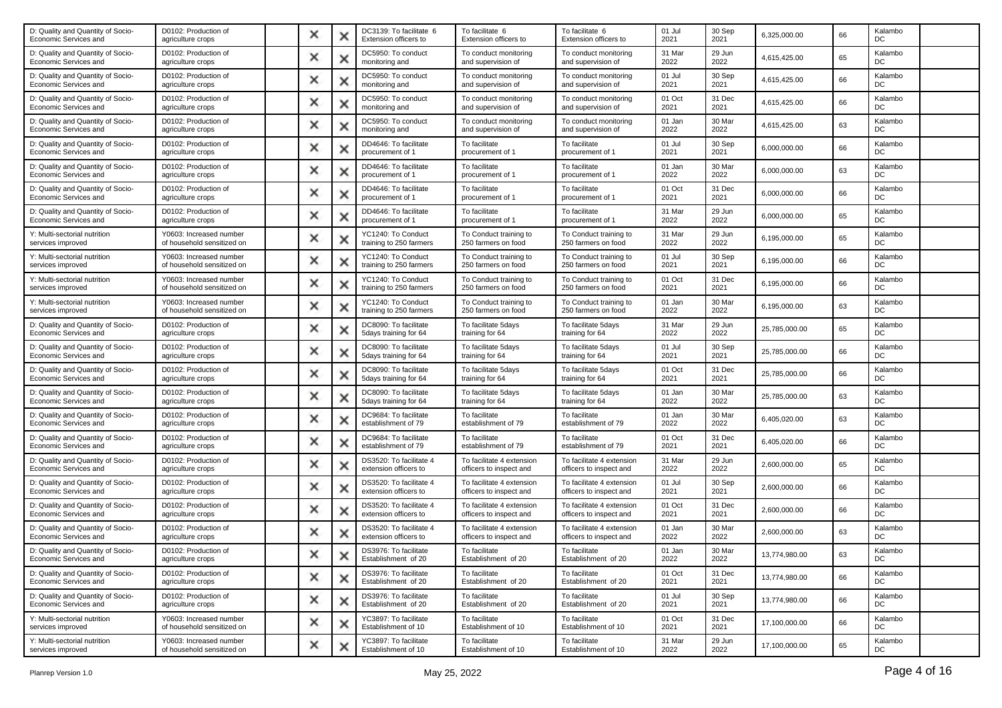| D: Quality and Quantity of Socio-<br>Economic Services and | D0102: Production of<br>agriculture crops             | × |   | DC3139: To facilitate 6<br>Extension officers to | To facilitate 6<br>Extension officers to             | To facilitate 6<br>Extension officers to             | 01 Jul<br>2021 | 30 Sep<br>2021 | 6,325,000.00  | 66 | Kalambo<br>DC |  |
|------------------------------------------------------------|-------------------------------------------------------|---|---|--------------------------------------------------|------------------------------------------------------|------------------------------------------------------|----------------|----------------|---------------|----|---------------|--|
| D: Quality and Quantity of Socio-<br>Economic Services and | D0102: Production of<br>agriculture crops             | × | х | DC5950: To conduct<br>monitoring and             | To conduct monitoring<br>and supervision of          | To conduct monitoring<br>and supervision of          | 31 Mar<br>2022 | 29 Jun<br>2022 | 4,615,425.00  | 65 | Kalambo<br>DC |  |
| D: Quality and Quantity of Socio-<br>Economic Services and | D0102: Production of<br>agriculture crops             | × | × | DC5950: To conduct<br>monitoring and             | To conduct monitoring<br>and supervision of          | To conduct monitoring<br>and supervision of          | 01 Jul<br>2021 | 30 Sep<br>2021 | 4,615,425.00  | 66 | Kalambo<br>DC |  |
| D: Quality and Quantity of Socio-<br>Economic Services and | D0102: Production of<br>agriculture crops             | × |   | DC5950: To conduct<br>monitoring and             | To conduct monitoring<br>and supervision of          | To conduct monitoring<br>and supervision of          | 01 Oct<br>2021 | 31 Dec<br>2021 | 4,615,425.00  | 66 | Kalambo<br>DC |  |
| D: Quality and Quantity of Socio-<br>Economic Services and | D0102: Production of<br>agriculture crops             | × | х | DC5950: To conduct<br>monitoring and             | To conduct monitoring<br>and supervision of          | To conduct monitoring<br>and supervision of          | 01 Jan<br>2022 | 30 Mar<br>2022 | 4,615,425.00  | 63 | Kalambo<br>DC |  |
| D: Quality and Quantity of Socio-<br>Economic Services and | D0102: Production of<br>agriculture crops             | × | × | DD4646: To facilitate<br>procurement of 1        | To facilitate<br>procurement of 1                    | To facilitate<br>procurement of 1                    | 01 Jul<br>2021 | 30 Sep<br>2021 | 6,000,000.00  | 66 | Kalambo<br>DC |  |
| D: Quality and Quantity of Socio-<br>Economic Services and | D0102: Production of<br>agriculture crops             | × |   | DD4646: To facilitate<br>procurement of 1        | To facilitate<br>procurement of 1                    | To facilitate<br>procurement of 1                    | 01 Jan<br>2022 | 30 Mar<br>2022 | 6,000,000.00  | 63 | Kalambo<br>DC |  |
| D: Quality and Quantity of Socio-<br>Economic Services and | D0102: Production of<br>agriculture crops             | × |   | DD4646: To facilitate<br>procurement of 1        | To facilitate<br>procurement of 1                    | To facilitate<br>procurement of 1                    | 01 Oct<br>2021 | 31 Dec<br>2021 | 6,000,000.00  | 66 | Kalambo<br>DC |  |
| D: Quality and Quantity of Socio-<br>Economic Services and | D0102: Production of<br>agriculture crops             | × | × | DD4646: To facilitate<br>procurement of 1        | To facilitate<br>procurement of 1                    | To facilitate<br>procurement of 1                    | 31 Mar<br>2022 | 29 Jun<br>2022 | 6,000,000.00  | 65 | Kalambo<br>DC |  |
| Y: Multi-sectorial nutrition<br>services improved          | Y0603: Increased number<br>of household sensitized on | × |   | YC1240: To Conduct<br>training to 250 farmers    | To Conduct training to<br>250 farmers on food        | To Conduct training to<br>250 farmers on food        | 31 Mar<br>2022 | 29 Jun<br>2022 | 6,195,000.00  | 65 | Kalambo<br>DC |  |
| Y: Multi-sectorial nutrition<br>services improved          | Y0603: Increased number<br>of household sensitized on | × |   | YC1240: To Conduct<br>training to 250 farmers    | To Conduct training to<br>250 farmers on food        | To Conduct training to<br>250 farmers on food        | 01 Jul<br>2021 | 30 Sep<br>2021 | 6,195,000.00  | 66 | Kalambo<br>DC |  |
| Y: Multi-sectorial nutrition<br>services improved          | Y0603: Increased number<br>of household sensitized on | × | × | YC1240: To Conduct<br>training to 250 farmers    | To Conduct training to<br>250 farmers on food        | To Conduct training to<br>250 farmers on food        | 01 Oct<br>2021 | 31 Dec<br>2021 | 6,195,000.00  | 66 | Kalambo<br>DC |  |
| Y: Multi-sectorial nutrition<br>services improved          | Y0603: Increased number<br>of household sensitized on | × |   | YC1240: To Conduct<br>training to 250 farmers    | To Conduct training to<br>250 farmers on food        | To Conduct training to<br>250 farmers on food        | 01 Jan<br>2022 | 30 Mar<br>2022 | 6,195,000.00  | 63 | Kalambo<br>DC |  |
| D: Quality and Quantity of Socio-<br>Economic Services and | D0102: Production of<br>agriculture crops             | × | ж | DC8090: To facilitate<br>5days training for 64   | To facilitate 5days<br>training for 64               | To facilitate 5days<br>training for 64               | 31 Mar<br>2022 | 29 Jun<br>2022 | 25,785,000.00 | 65 | Kalambo<br>DC |  |
| D: Quality and Quantity of Socio-<br>Economic Services and | D0102: Production of<br>agriculture crops             | × | × | DC8090: To facilitate<br>5days training for 64   | To facilitate 5days<br>training for 64               | To facilitate 5days<br>training for 64               | 01 Jul<br>2021 | 30 Sep<br>2021 | 25,785,000.00 | 66 | Kalambo<br>DC |  |
| D: Quality and Quantity of Socio-<br>Economic Services and | D0102: Production of<br>agriculture crops             | × |   | DC8090: To facilitate<br>5days training for 64   | To facilitate 5days<br>training for 64               | To facilitate 5days<br>training for 64               | 01 Oct<br>2021 | 31 Dec<br>2021 | 25,785,000.00 | 66 | Kalambo<br>DC |  |
| D: Quality and Quantity of Socio-<br>Economic Services and | D0102: Production of<br>agriculture crops             | × | Ж | DC8090: To facilitate<br>5days training for 64   | To facilitate 5days<br>training for 64               | To facilitate 5days<br>training for 64               | 01 Jan<br>2022 | 30 Mar<br>2022 | 25,785,000.00 | 63 | Kalambo<br>DC |  |
| D: Quality and Quantity of Socio-<br>Economic Services and | D0102: Production of<br>agriculture crops             | × | × | DC9684: To facilitate<br>establishment of 79     | To facilitate<br>establishment of 79                 | To facilitate<br>establishment of 79                 | 01 Jan<br>2022 | 30 Mar<br>2022 | 6,405,020.00  | 63 | Kalambo<br>DC |  |
| D: Quality and Quantity of Socio-<br>Economic Services and | D0102: Production of<br>agriculture crops             | × |   | DC9684: To facilitate<br>establishment of 79     | To facilitate<br>establishment of 79                 | To facilitate<br>establishment of 79                 | 01 Oct<br>2021 | 31 Dec<br>2021 | 6,405,020.00  | 66 | Kalambo<br>DC |  |
| D: Quality and Quantity of Socio-<br>Economic Services and | D0102: Production of<br>agriculture crops             | × |   | DS3520: To facilitate 4<br>extension officers to | To facilitate 4 extension<br>officers to inspect and | To facilitate 4 extension<br>officers to inspect and | 31 Mar<br>2022 | 29 Jun<br>2022 | 2,600,000.00  | 65 | Kalambo<br>DC |  |
| D: Quality and Quantity of Socio-<br>Economic Services and | D0102: Production of<br>agriculture crops             | × | × | DS3520: To facilitate 4<br>extension officers to | To facilitate 4 extension<br>officers to inspect and | To facilitate 4 extension<br>officers to inspect and | 01 Jul<br>2021 | 30 Sep<br>2021 | 2,600,000.00  | 66 | Kalambo<br>DC |  |
| D: Quality and Quantity of Socio-<br>Economic Services and | D0102: Production of<br>agriculture crops             | × |   | DS3520: To facilitate 4<br>extension officers to | To facilitate 4 extension<br>officers to inspect and | To facilitate 4 extension<br>officers to inspect and | 01 Oct<br>2021 | 31 Dec<br>2021 | 2,600,000.00  | 66 | Kalambo<br>DC |  |
| D: Quality and Quantity of Socio-<br>Economic Services and | D0102: Production of<br>agriculture crops             | × |   | DS3520: To facilitate 4<br>extension officers to | To facilitate 4 extension<br>officers to inspect and | To facilitate 4 extension<br>officers to inspect and | 01 Jan<br>2022 | 30 Mar<br>2022 | 2,600,000.00  | 63 | Kalambo<br>DC |  |
| D: Quality and Quantity of Socio-<br>Economic Services and | D0102: Production of<br>agriculture crops             |   |   | DS3976: To facilitate<br>Establishment of 20     | To facilitate<br>Establishment of 20                 | To facilitate<br>Establishment of 20                 | 01 Jan<br>2022 | 30 Mar<br>2022 | 13,774,980.00 | 63 | Kalambo<br>DC |  |
| D: Quality and Quantity of Socio-<br>Economic Services and | D0102: Production of<br>agriculture crops             | × | × | DS3976: To facilitate<br>Establishment of 20     | To facilitate<br>Establishment of 20                 | To facilitate<br>Establishment of 20                 | 01 Oct<br>2021 | 31 Dec<br>2021 | 13,774,980.00 | 66 | Kalambo<br>DC |  |
| D: Quality and Quantity of Socio-<br>Economic Services and | D0102: Production of<br>agriculture crops             | × | × | DS3976: To facilitate<br>Establishment of 20     | To facilitate<br>Establishment of 20                 | To facilitate<br>Establishment of 20                 | 01 Jul<br>2021 | 30 Sep<br>2021 | 13,774,980.00 | 66 | Kalambo<br>DC |  |
| Y: Multi-sectorial nutrition<br>services improved          | Y0603: Increased number<br>of household sensitized on | × | × | YC3897: To facilitate<br>Establishment of 10     | To facilitate<br>Establishment of 10                 | To facilitate<br>Establishment of 10                 | 01 Oct<br>2021 | 31 Dec<br>2021 | 17,100,000.00 | 66 | Kalambo<br>DC |  |
| Y: Multi-sectorial nutrition<br>services improved          | Y0603: Increased number<br>of household sensitized on | × |   | YC3897: To facilitate<br>Establishment of 10     | To facilitate<br>Establishment of 10                 | To facilitate<br>Establishment of 10                 | 31 Mar<br>2022 | 29 Jun<br>2022 | 17,100,000.00 | 65 | Kalambo<br>DC |  |
|                                                            |                                                       |   |   |                                                  |                                                      |                                                      |                |                |               |    |               |  |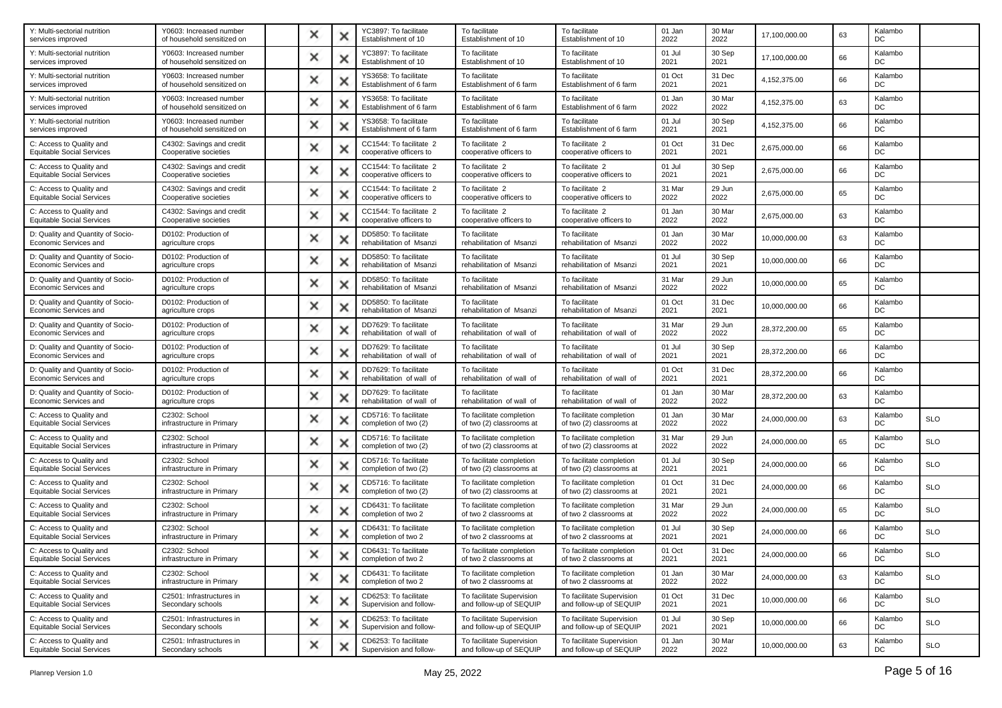| Y0603: Increased number<br>of household sensitized on | × |   | YC3897: To facilitate<br>Establishment of 10       | To facilitate<br>Establishment of 10                 | To facilitate<br>Establishment of 10                 | 01 Jan<br>2022 | 30 Mar<br>2022 | 17,100,000.00 | 63 | Kalambo<br>DC |            |
|-------------------------------------------------------|---|---|----------------------------------------------------|------------------------------------------------------|------------------------------------------------------|----------------|----------------|---------------|----|---------------|------------|
| Y0603: Increased number<br>of household sensitized on | × |   | YC3897: To facilitate<br>Establishment of 10       | To facilitate<br>Establishment of 10                 | To facilitate<br>Establishment of 10                 | 01 Jul<br>2021 | 30 Sep<br>2021 | 17,100,000.00 | 66 | Kalambo<br>DC |            |
| Y0603: Increased number<br>of household sensitized on | × |   | YS3658: To facilitate<br>Establishment of 6 farm   | To facilitate<br>Establishment of 6 farm             | To facilitate<br>Establishment of 6 farm             | 01 Oct<br>2021 | 31 Dec<br>2021 | 4,152,375.00  | 66 | Kalambo<br>DC |            |
| Y0603: Increased number<br>of household sensitized on | × |   | YS3658: To facilitate<br>Establishment of 6 farm   | To facilitate<br>Establishment of 6 farm             | To facilitate<br>Establishment of 6 farm             | 01 Jan<br>2022 | 30 Mar<br>2022 | 4,152,375.00  | 63 | Kalambo<br>DC |            |
| Y0603: Increased number<br>of household sensitized on | × | х | YS3658: To facilitate<br>Establishment of 6 farm   | To facilitate<br>Establishment of 6 farm             | To facilitate<br>Establishment of 6 farm             | 01 Jul<br>2021 | 30 Sep<br>2021 | 4,152,375.00  | 66 | Kalambo<br>DC |            |
| C4302: Savings and credit<br>Cooperative societies    | × | x | CC1544: To facilitate 2<br>cooperative officers to | To facilitate 2<br>cooperative officers to           | To facilitate 2<br>cooperative officers to           | 01 Oct<br>2021 | 31 Dec<br>2021 | 2,675,000.00  | 66 | Kalambo<br>DC |            |
| C4302: Savings and credit<br>Cooperative societies    | × |   | CC1544: To facilitate 2<br>cooperative officers to | To facilitate 2<br>cooperative officers to           | To facilitate 2<br>cooperative officers to           | 01 Jul<br>2021 | 30 Sep<br>2021 | 2,675,000.00  | 66 | Kalambo<br>DC |            |
| C4302: Savings and credit<br>Cooperative societies    | × |   | CC1544: To facilitate 2<br>cooperative officers to | To facilitate 2<br>cooperative officers to           | To facilitate 2<br>cooperative officers to           | 31 Mar<br>2022 | 29 Jun<br>2022 | 2,675,000.00  | 65 | Kalambo<br>DC |            |
| C4302: Savings and credit<br>Cooperative societies    | × |   | CC1544: To facilitate 2<br>cooperative officers to | To facilitate 2<br>cooperative officers to           | To facilitate 2<br>cooperative officers to           | 01 Jan<br>2022 | 30 Mar<br>2022 | 2,675,000.00  | 63 | Kalambo<br>DC |            |
| D0102: Production of<br>agriculture crops             | × |   | DD5850: To facilitate<br>rehabilitation of Msanzi  | To facilitate<br>rehabilitation of Msanzi            | To facilitate<br>rehabilitation of Msanzi            | 01 Jan<br>2022 | 30 Mar<br>2022 | 10,000,000.00 | 63 | Kalambo<br>DC |            |
| D0102: Production of<br>agriculture crops             | × |   | DD5850: To facilitate<br>rehabilitation of Msanzi  | To facilitate<br>rehabilitation of Msanzi            | To facilitate<br>rehabilitation of Msanzi            | 01 Jul<br>2021 | 30 Sep<br>2021 | 10,000,000.00 | 66 | Kalambo<br>DC |            |
| D0102: Production of<br>agriculture crops             | × | x | DD5850: To facilitate<br>rehabilitation of Msanzi  | To facilitate<br>rehabilitation of Msanzi            | To facilitate<br>rehabilitation of Msanzi            | 31 Mar<br>2022 | 29 Jun<br>2022 | 10,000,000.00 | 65 | Kalambo<br>DC |            |
| D0102: Production of<br>agriculture crops             | × |   | DD5850: To facilitate<br>rehabilitation of Msanzi  | To facilitate<br>rehabilitation of Msanzi            | To facilitate<br>rehabilitation of Msanzi            | 01 Oct<br>2021 | 31 Dec<br>2021 | 10,000,000.00 | 66 | Kalambo<br>DC |            |
| D0102: Production of<br>agriculture crops             | × |   | DD7629: To facilitate<br>rehabilitation of wall of | To facilitate<br>rehabilitation of wall of           | To facilitate<br>rehabilitation of wall of           | 31 Mar<br>2022 | 29 Jun<br>2022 | 28,372,200.00 | 65 | Kalambo<br>DC |            |
| D0102: Production of<br>agriculture crops             | × |   | DD7629: To facilitate<br>rehabilitation of wall of | To facilitate<br>rehabilitation of wall of           | To facilitate<br>rehabilitation of wall of           | 01 Jul<br>2021 | 30 Sep<br>2021 | 28,372,200.00 | 66 | Kalambo<br>DC |            |
| D0102: Production of<br>agriculture crops             | × |   | DD7629: To facilitate<br>rehabilitation of wall of | To facilitate<br>rehabilitation of wall of           | To facilitate<br>rehabilitation of wall of           | 01 Oct<br>2021 | 31 Dec<br>2021 | 28,372,200.00 | 66 | Kalambo<br>DC |            |
| D0102: Production of<br>agriculture crops             | × |   | DD7629: To facilitate<br>rehabilitation of wall of | To facilitate<br>rehabilitation of wall of           | To facilitate<br>rehabilitation of wall of           | 01 Jan<br>2022 | 30 Mar<br>2022 | 28,372,200.00 | 63 | Kalambo<br>DC |            |
| C2302: School<br>infrastructure in Primary            | × | × | CD5716: To facilitate<br>completion of two (2)     | To facilitate completion<br>of two (2) classrooms at | To facilitate completion<br>of two (2) classrooms at | 01 Jan<br>2022 | 30 Mar<br>2022 | 24,000,000.00 | 63 | Kalambo<br>DC | <b>SLO</b> |
| C2302: School<br>infrastructure in Primary            | × |   | CD5716: To facilitate<br>completion of two (2)     | To facilitate completion<br>of two (2) classrooms at | To facilitate completion<br>of two (2) classrooms at | 31 Mar<br>2022 | 29 Jun<br>2022 | 24,000,000.00 | 65 | Kalambo<br>DC | <b>SLO</b> |
| C2302: School<br>infrastructure in Primary            | × |   | CD5716: To facilitate<br>completion of two (2)     | To facilitate completion<br>of two (2) classrooms at | To facilitate completion<br>of two (2) classrooms at | 01 Jul<br>2021 | 30 Sep<br>2021 | 24,000,000.00 | 66 | Kalambo<br>DC | <b>SLO</b> |
| C2302: School<br>infrastructure in Primary            | × | × | CD5716: To facilitate<br>completion of two (2)     | To facilitate completion<br>of two (2) classrooms at | To facilitate completion<br>of two (2) classrooms at | 01 Oct<br>2021 | 31 Dec<br>2021 | 24,000,000.00 | 66 | Kalambo<br>DC | <b>SLO</b> |
| C2302: School<br>infrastructure in Primary            | × |   | CD6431: To facilitate<br>completion of two 2       | To facilitate completion<br>of two 2 classrooms at   | To facilitate completion<br>of two 2 classrooms at   | 31 Mar<br>2022 | 29 Jun<br>2022 | 24,000,000.00 | 65 | Kalambo<br>DC | <b>SLO</b> |
| C2302: School<br>infrastructure in Primary            | × |   | CD6431: To facilitate<br>completion of two 2       | To facilitate completion<br>of two 2 classrooms at   | To facilitate completion<br>of two 2 classrooms at   | 01 Jul<br>2021 | 30 Sep<br>2021 | 24,000,000.00 | 66 | Kalambo<br>DC | <b>SLO</b> |
| C2302: School<br>infrastructure in Primary            |   |   | CD6431: To facilitate<br>completion of two 2       | To facilitate completion<br>of two 2 classrooms at   | To facilitate completion<br>of two 2 classrooms at   | 01 Oct<br>2021 | 31 Dec<br>2021 | 24,000,000.00 | 66 | Kalambo<br>DC | <b>SLO</b> |
| C2302: School<br>infrastructure in Primary            | × | × | CD6431: To facilitate<br>completion of two 2       | To facilitate completion<br>of two 2 classrooms at   | To facilitate completion<br>of two 2 classrooms at   | 01 Jan<br>2022 | 30 Mar<br>2022 | 24,000,000.00 | 63 | Kalambo<br>DC | <b>SLO</b> |
| C2501: Infrastructures in<br>Secondary schools        | × | х | CD6253: To facilitate<br>Supervision and follow-   | To facilitate Supervision<br>and follow-up of SEQUIP | To facilitate Supervision<br>and follow-up of SEQUIP | 01 Oct<br>2021 | 31 Dec<br>2021 | 10,000,000.00 | 66 | Kalambo<br>DC | <b>SLO</b> |
| C2501: Infrastructures in<br>Secondary schools        | × | × | CD6253: To facilitate<br>Supervision and follow-   | To facilitate Supervision<br>and follow-up of SEQUIP | To facilitate Supervision<br>and follow-up of SEQUIP | 01 Jul<br>2021 | 30 Sep<br>2021 | 10,000,000.00 | 66 | Kalambo<br>DC | <b>SLO</b> |
| C2501: Infrastructures in<br>Secondary schools        | × |   | CD6253: To facilitate<br>Supervision and follow-   | To facilitate Supervision<br>and follow-up of SEQUIP | To facilitate Supervision<br>and follow-up of SEQUIP | 01 Jan<br>2022 | 30 Mar<br>2022 | 10,000,000.00 | 63 | Kalambo<br>DC | <b>SLO</b> |
|                                                       |   |   |                                                    |                                                      |                                                      |                |                |               |    |               |            |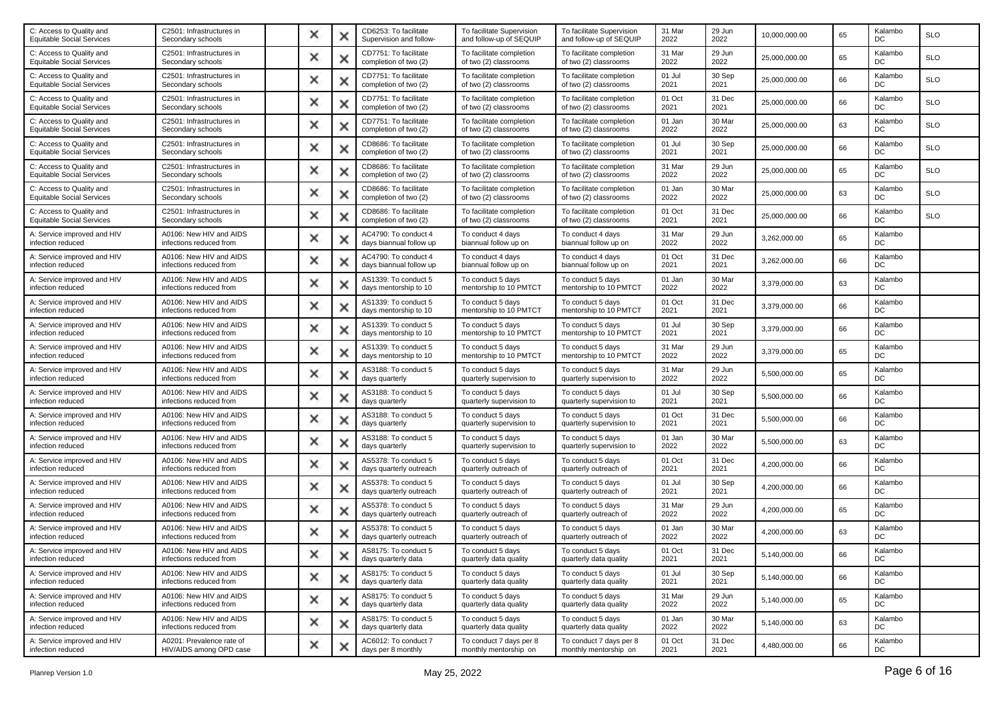| C2501: Infrastructures in<br>Secondary schools       | × |   | CD6253: To facilitate<br>Supervision and follow- | To facilitate Supervision<br>and follow-up of SEQUIP | To facilitate Supervision<br>and follow-up of SEQUIP | 31 Mar<br>2022 | 29 Jun<br>2022 | 10,000,000.00 | 65 | Kalambo<br>DC | <b>SLO</b> |
|------------------------------------------------------|---|---|--------------------------------------------------|------------------------------------------------------|------------------------------------------------------|----------------|----------------|---------------|----|---------------|------------|
| C2501: Infrastructures in<br>Secondary schools       | × |   | CD7751: To facilitate<br>completion of two (2)   | To facilitate completion<br>of two (2) classrooms    | To facilitate completion<br>of two (2) classrooms    | 31 Mar<br>2022 | 29 Jun<br>2022 | 25.000.000.00 | 65 | Kalambo<br>DC | <b>SLO</b> |
| C2501: Infrastructures in<br>Secondary schools       | × | × | CD7751: To facilitate<br>completion of two (2)   | To facilitate completion<br>of two (2) classrooms    | To facilitate completion<br>of two (2) classrooms    | 01 Jul<br>2021 | 30 Sep<br>2021 | 25,000,000.00 | 66 | Kalambo<br>DC | <b>SLO</b> |
| C2501: Infrastructures in<br>Secondary schools       | × |   | CD7751: To facilitate<br>completion of two (2)   | To facilitate completion<br>of two (2) classrooms    | To facilitate completion<br>of two (2) classrooms    | 01 Oct<br>2021 | 31 Dec<br>2021 | 25,000,000.00 | 66 | Kalambo<br>DC | <b>SLO</b> |
| C2501: Infrastructures in<br>Secondary schools       | × | ж | CD7751: To facilitate<br>completion of two (2)   | To facilitate completion<br>of two (2) classrooms    | To facilitate completion<br>of two (2) classrooms    | 01 Jan<br>2022 | 30 Mar<br>2022 | 25,000,000.00 | 63 | Kalambo<br>DC | <b>SLO</b> |
| C2501: Infrastructures in<br>Secondary schools       | × | х | CD8686: To facilitate<br>completion of two (2)   | To facilitate completion<br>of two (2) classrooms    | To facilitate completion<br>of two (2) classrooms    | 01 Jul<br>2021 | 30 Sep<br>2021 | 25,000,000.00 | 66 | Kalambo<br>DC | <b>SLO</b> |
| C2501: Infrastructures in<br>Secondary schools       | × |   | CD8686: To facilitate<br>completion of two (2)   | To facilitate completion<br>of two (2) classrooms    | To facilitate completion<br>of two (2) classrooms    | 31 Mar<br>2022 | 29 Jun<br>2022 | 25,000,000.00 | 65 | Kalambo<br>DC | <b>SLO</b> |
| C2501: Infrastructures in<br>Secondary schools       | × |   | CD8686: To facilitate<br>completion of two (2)   | To facilitate completion<br>of two (2) classrooms    | To facilitate completion<br>of two (2) classrooms    | 01 Jan<br>2022 | 30 Mar<br>2022 | 25,000,000.00 | 63 | Kalambo<br>DC | <b>SLO</b> |
| C2501: Infrastructures in<br>Secondary schools       | × | × | CD8686: To facilitate<br>completion of two (2)   | To facilitate completion<br>of two (2) classrooms    | To facilitate completion<br>of two (2) classrooms    | 01 Oct<br>2021 | 31 Dec<br>2021 | 25,000,000.00 | 66 | Kalambo<br>DC | <b>SLO</b> |
| A0106: New HIV and AIDS<br>infections reduced from   | × |   | AC4790: To conduct 4<br>days biannual follow up  | To conduct 4 days<br>biannual follow up on           | To conduct 4 days<br>biannual follow up on           | 31 Mar<br>2022 | 29 Jun<br>2022 | 3,262,000.00  | 65 | Kalambo<br>DC |            |
| A0106: New HIV and AIDS<br>infections reduced from   | × |   | AC4790: To conduct 4<br>days biannual follow up  | To conduct 4 days<br>biannual follow up on           | To conduct 4 days<br>biannual follow up on           | 01 Oct<br>2021 | 31 Dec<br>2021 | 3,262,000.00  | 66 | Kalambo<br>DC |            |
| A0106: New HIV and AIDS<br>infections reduced from   | × | × | AS1339: To conduct 5<br>days mentorship to 10    | To conduct 5 days<br>mentorship to 10 PMTCT          | To conduct 5 days<br>mentorship to 10 PMTCT          | 01 Jan<br>2022 | 30 Mar<br>2022 | 3,379,000.00  | 63 | Kalambo<br>DC |            |
| A0106: New HIV and AIDS<br>infections reduced from   | × |   | AS1339: To conduct 5<br>days mentorship to 10    | To conduct 5 days<br>mentorship to 10 PMTCT          | To conduct 5 days<br>mentorship to 10 PMTCT          | 01 Oct<br>2021 | 31 Dec<br>2021 | 3,379,000.00  | 66 | Kalambo<br>DC |            |
| A0106: New HIV and AIDS<br>infections reduced from   | × |   | AS1339: To conduct 5<br>days mentorship to 10    | To conduct 5 days<br>mentorship to 10 PMTCT          | To conduct 5 days<br>mentorship to 10 PMTCT          | 01 Jul<br>2021 | 30 Sep<br>2021 | 3,379,000.00  | 66 | Kalambo<br>DC |            |
| A0106: New HIV and AIDS<br>infections reduced from   | × | × | AS1339: To conduct 5<br>days mentorship to 10    | To conduct 5 days<br>mentorship to 10 PMTCT          | To conduct 5 days<br>mentorship to 10 PMTCT          | 31 Mar<br>2022 | 29 Jun<br>2022 | 3,379,000.00  | 65 | Kalambo<br>DC |            |
| A0106: New HIV and AIDS<br>infections reduced from   | × |   | AS3188: To conduct 5<br>days quarterly           | To conduct 5 days<br>quarterly supervision to        | To conduct 5 days<br>quarterly supervision to        | 31 Mar<br>2022 | 29 Jun<br>2022 | 5,500,000.00  | 65 | Kalambo<br>DC |            |
| A0106: New HIV and AIDS<br>infections reduced from   | × |   | AS3188: To conduct 5<br>days quarterly           | To conduct 5 days<br>quarterly supervision to        | To conduct 5 days<br>quarterly supervision to        | 01 Jul<br>2021 | 30 Sep<br>2021 | 5,500,000.00  | 66 | Kalambo<br>DC |            |
| A0106: New HIV and AIDS<br>infections reduced from   | × | × | AS3188: To conduct 5<br>days quarterly           | To conduct 5 days<br>quarterly supervision to        | To conduct 5 days<br>quarterly supervision to        | 01 Oct<br>2021 | 31 Dec<br>2021 | 5,500,000.00  | 66 | Kalambo<br>DC |            |
| A0106: New HIV and AIDS<br>infections reduced from   | × |   | AS3188: To conduct 5<br>days quarterly           | To conduct 5 days<br>quarterly supervision to        | To conduct 5 days<br>quarterly supervision to        | 01 Jan<br>2022 | 30 Mar<br>2022 | 5,500,000.00  | 63 | Kalambo<br>DC |            |
| A0106: New HIV and AIDS<br>infections reduced from   | × |   | AS5378: To conduct 5<br>days quarterly outreach  | To conduct 5 days<br>quarterly outreach of           | To conduct 5 days<br>quarterly outreach of           | 01 Oct<br>2021 | 31 Dec<br>2021 | 4,200,000.00  | 66 | Kalambo<br>DC |            |
| A0106: New HIV and AIDS<br>infections reduced from   | × | × | AS5378: To conduct 5<br>days quarterly outreach  | To conduct 5 days<br>quarterly outreach of           | To conduct 5 days<br>quarterly outreach of           | 01 Jul<br>2021 | 30 Sep<br>2021 | 4,200,000.00  | 66 | Kalambo<br>DC |            |
| A0106: New HIV and AIDS<br>infections reduced from   | × |   | AS5378: To conduct 5<br>days quarterly outreach  | To conduct 5 days<br>quarterly outreach of           | To conduct 5 days<br>quarterly outreach of           | 31 Mar<br>2022 | 29 Jun<br>2022 | 4,200,000.00  | 65 | Kalambo<br>DC |            |
| A0106: New HIV and AIDS<br>infections reduced from   | × |   | AS5378: To conduct 5<br>days quarterly outreach  | To conduct 5 days<br>quarterly outreach of           | To conduct 5 days<br>quarterly outreach of           | 01 Jan<br>2022 | 30 Mar<br>2022 | 4,200,000.00  | 63 | Kalambo<br>DC |            |
| A0106: New HIV and AIDS<br>infections reduced from   |   |   | AS8175: To conduct 5<br>days quarterly data      | To conduct 5 days<br>quarterly data quality          | To conduct 5 days<br>quarterly data quality          | 01 Oct<br>2021 | 31 Dec<br>2021 | 5,140,000.00  | 66 | Kalambo<br>DC |            |
| A0106: New HIV and AIDS<br>infections reduced from   | × | × | AS8175: To conduct 5<br>days quarterly data      | To conduct 5 days<br>quarterly data quality          | To conduct 5 days<br>quarterly data quality          | 01 Jul<br>2021 | 30 Sep<br>2021 | 5,140,000.00  | 66 | Kalambo<br>DC |            |
| A0106: New HIV and AIDS<br>infections reduced from   | × | × | AS8175: To conduct 5<br>days quarterly data      | To conduct 5 days<br>quarterly data quality          | To conduct 5 days<br>quarterly data quality          | 31 Mar<br>2022 | 29 Jun<br>2022 | 5,140,000.00  | 65 | Kalambo<br>DC |            |
| A0106: New HIV and AIDS<br>infections reduced from   | × | × | AS8175: To conduct 5<br>days quarterly data      | To conduct 5 days<br>quarterly data quality          | To conduct 5 days<br>quarterly data quality          | 01 Jan<br>2022 | 30 Mar<br>2022 | 5,140,000.00  | 63 | Kalambo<br>DC |            |
| A0201: Prevalence rate of<br>HIV/AIDS among OPD case | × |   | AC6012: To conduct 7<br>days per 8 monthly       | To conduct 7 days per 8<br>monthly mentorship on     | To conduct 7 days per 8<br>monthly mentorship on     | 01 Oct<br>2021 | 31 Dec<br>2021 | 4,480,000.00  | 66 | Kalambo<br>DC |            |
|                                                      |   |   |                                                  |                                                      |                                                      |                |                |               |    |               |            |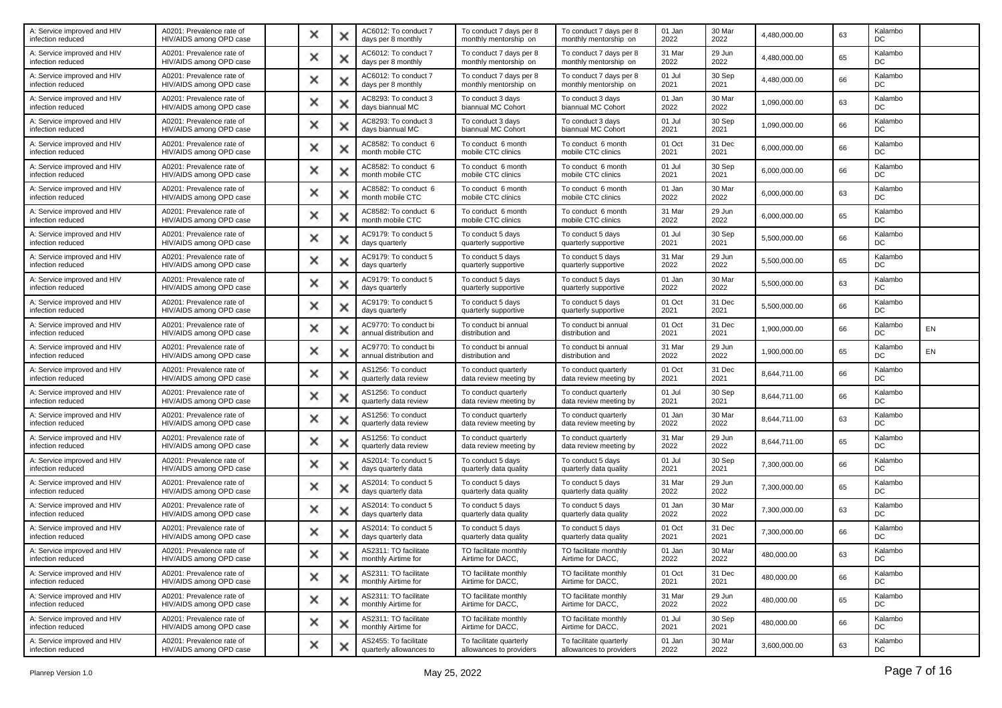| A: Service improved and HIV<br>infection reduced | A0201: Prevalence rate of<br>HIV/AIDS among OPD case | × | x | AC6012: To conduct 7<br>days per 8 monthly       | To conduct 7 days per 8<br>monthly mentorship on   | To conduct 7 days per 8<br>monthly mentorship on   | 01 Jan<br>2022 | 30 Mar<br>2022 | 4,480,000.00 | 63 | Kalambo<br>DC |    |
|--------------------------------------------------|------------------------------------------------------|---|---|--------------------------------------------------|----------------------------------------------------|----------------------------------------------------|----------------|----------------|--------------|----|---------------|----|
| A: Service improved and HIV<br>infection reduced | A0201: Prevalence rate of<br>HIV/AIDS among OPD case | × | х | AC6012: To conduct 7<br>days per 8 monthly       | To conduct 7 days per 8<br>monthly mentorship on   | To conduct 7 days per 8<br>monthly mentorship on   | 31 Mar<br>2022 | 29 Jun<br>2022 | 4,480,000.00 | 65 | Kalambo<br>DC |    |
| A: Service improved and HIV<br>infection reduced | A0201: Prevalence rate of<br>HIV/AIDS among OPD case | × | × | AC6012: To conduct 7<br>days per 8 monthly       | To conduct 7 days per 8<br>monthly mentorship on   | To conduct 7 days per 8<br>monthly mentorship on   | 01 Jul<br>2021 | 30 Sep<br>2021 | 4,480,000.00 | 66 | Kalambo<br>DC |    |
| A: Service improved and HIV<br>infection reduced | A0201: Prevalence rate of<br>HIV/AIDS among OPD case | × |   | AC8293: To conduct 3<br>days biannual MC         | To conduct 3 days<br>biannual MC Cohort            | To conduct 3 days<br>biannual MC Cohort            | 01 Jan<br>2022 | 30 Mar<br>2022 | 1,090,000.00 | 63 | Kalambo<br>DC |    |
| A: Service improved and HIV<br>infection reduced | A0201: Prevalence rate of<br>HIV/AIDS among OPD case | × | х | AC8293: To conduct 3<br>days biannual MC         | To conduct 3 days<br>biannual MC Cohort            | To conduct 3 days<br>biannual MC Cohort            | 01 Jul<br>2021 | 30 Sep<br>2021 | 1,090,000.00 | 66 | Kalambo<br>DC |    |
| A: Service improved and HIV<br>infection reduced | A0201: Prevalence rate of<br>HIV/AIDS among OPD case | × | × | AC8582: To conduct 6<br>month mobile CTC         | To conduct 6 month<br>mobile CTC clinics           | To conduct 6 month<br>mobile CTC clinics           | 01 Oct<br>2021 | 31 Dec<br>2021 | 6,000,000.00 | 66 | Kalambo<br>DC |    |
| A: Service improved and HIV<br>infection reduced | A0201: Prevalence rate of<br>HIV/AIDS among OPD case | × | x | AC8582: To conduct 6<br>month mobile CTC         | To conduct 6 month<br>mobile CTC clinics           | To conduct 6 month<br>mobile CTC clinics           | 01 Jul<br>2021 | 30 Sep<br>2021 | 6,000,000.00 | 66 | Kalambo<br>DC |    |
| A: Service improved and HIV<br>infection reduced | A0201: Prevalence rate of<br>HIV/AIDS among OPD case | × | х | AC8582: To conduct 6<br>month mobile CTC         | To conduct 6 month<br>mobile CTC clinics           | To conduct 6 month<br>mobile CTC clinics           | 01 Jan<br>2022 | 30 Mar<br>2022 | 6,000,000.00 | 63 | Kalambo<br>DC |    |
| A: Service improved and HIV<br>infection reduced | A0201: Prevalence rate of<br>HIV/AIDS among OPD case | × | × | AC8582: To conduct 6<br>month mobile CTC         | To conduct 6 month<br>mobile CTC clinics           | To conduct 6 month<br>mobile CTC clinics           | 31 Mar<br>2022 | 29 Jun<br>2022 | 6,000,000.00 | 65 | Kalambo<br>DC |    |
| A: Service improved and HIV<br>infection reduced | A0201: Prevalence rate of<br>HIV/AIDS among OPD case | × | × | AC9179: To conduct 5<br>days quarterly           | To conduct 5 days<br>quarterly supportive          | To conduct 5 days<br>quarterly supportive          | 01 Jul<br>2021 | 30 Sep<br>2021 | 5,500,000.00 | 66 | Kalambo<br>DC |    |
| A: Service improved and HIV<br>infection reduced | A0201: Prevalence rate of<br>HIV/AIDS among OPD case | × | x | AC9179: To conduct 5<br>days quarterly           | To conduct 5 days<br>quarterly supportive          | To conduct 5 days<br>quarterly supportive          | 31 Mar<br>2022 | 29 Jun<br>2022 | 5,500,000.00 | 65 | Kalambo<br>DC |    |
| A: Service improved and HIV<br>infection reduced | A0201: Prevalence rate of<br>HIV/AIDS among OPD case | × | x | AC9179: To conduct 5<br>days quarterly           | To conduct 5 days<br>quarterly supportive          | To conduct 5 days<br>quarterly supportive          | 01 Jan<br>2022 | 30 Mar<br>2022 | 5,500,000.00 | 63 | Kalambo<br>DC |    |
| A: Service improved and HIV<br>infection reduced | A0201: Prevalence rate of<br>HIV/AIDS among OPD case | × | × | AC9179: To conduct 5<br>days quarterly           | To conduct 5 days<br>quarterly supportive          | To conduct 5 days<br>quarterly supportive          | 01 Oct<br>2021 | 31 Dec<br>2021 | 5,500,000.00 | 66 | Kalambo<br>DC |    |
| A: Service improved and HIV<br>infection reduced | A0201: Prevalence rate of<br>HIV/AIDS among OPD case | × |   | AC9770: To conduct bi<br>annual distribution and | To conduct bi annual<br>distribution and           | To conduct bi annual<br>distribution and           | 01 Oct<br>2021 | 31 Dec<br>2021 | 1.900.000.00 | 66 | Kalambo<br>DC | EN |
| A: Service improved and HIV<br>infection reduced | A0201: Prevalence rate of<br>HIV/AIDS among OPD case | × | × | AC9770: To conduct bi<br>annual distribution and | To conduct bi annual<br>distribution and           | To conduct bi annual<br>distribution and           | 31 Mar<br>2022 | 29 Jun<br>2022 | 1,900,000.00 | 65 | Kalambo<br>DC | EN |
| A: Service improved and HIV<br>infection reduced | A0201: Prevalence rate of<br>HIV/AIDS among OPD case | × |   | AS1256: To conduct<br>quarterly data review      | To conduct quarterly<br>data review meeting by     | To conduct quarterly<br>data review meeting by     | 01 Oct<br>2021 | 31 Dec<br>2021 | 8,644,711.00 | 66 | Kalambo<br>DC |    |
| A: Service improved and HIV<br>infection reduced | A0201: Prevalence rate of<br>HIV/AIDS among OPD case | × | x | AS1256: To conduct<br>quarterly data review      | To conduct quarterly<br>data review meeting by     | To conduct quarterly<br>data review meeting by     | 01 Jul<br>2021 | 30 Sep<br>2021 | 8,644,711.00 | 66 | Kalambo<br>DC |    |
| A: Service improved and HIV<br>infection reduced | A0201: Prevalence rate of<br>HIV/AIDS among OPD case | × | x | AS1256: To conduct<br>quarterly data review      | To conduct quarterly<br>data review meeting by     | To conduct quarterly<br>data review meeting by     | 01 Jan<br>2022 | 30 Mar<br>2022 | 8,644,711.00 | 63 | Kalambo<br>DC |    |
| A: Service improved and HIV<br>infection reduced | A0201: Prevalence rate of<br>HIV/AIDS among OPD case | × | х | AS1256: To conduct<br>quarterly data review      | To conduct quarterly<br>data review meeting by     | To conduct quarterly<br>data review meeting by     | 31 Mar<br>2022 | 29 Jun<br>2022 | 8,644,711.00 | 65 | Kalambo<br>DC |    |
| A: Service improved and HIV<br>infection reduced | A0201: Prevalence rate of<br>HIV/AIDS among OPD case | × | х | AS2014: To conduct 5<br>days quarterly data      | To conduct 5 days<br>quarterly data quality        | To conduct 5 days<br>quarterly data quality        | 01 Jul<br>2021 | 30 Sep<br>2021 | 7,300,000.00 | 66 | Kalambo<br>DC |    |
| A: Service improved and HIV<br>infection reduced | A0201: Prevalence rate of<br>HIV/AIDS among OPD case | × | × | AS2014: To conduct 5<br>days quarterly data      | To conduct 5 days<br>quarterly data quality        | To conduct 5 days<br>quarterly data quality        | 31 Mar<br>2022 | 29 Jun<br>2022 | 7,300,000.00 | 65 | Kalambo<br>DC |    |
| A: Service improved and HIV<br>infection reduced | A0201: Prevalence rate of<br>HIV/AIDS among OPD case | × | x | AS2014: To conduct 5<br>days quarterly data      | To conduct 5 days<br>quarterly data quality        | To conduct 5 days<br>quarterly data quality        | 01 Jan<br>2022 | 30 Mar<br>2022 | 7,300,000.00 | 63 | Kalambo<br>DC |    |
| A: Service improved and HIV<br>infection reduced | A0201: Prevalence rate of<br>HIV/AIDS among OPD case | × | х | AS2014: To conduct 5<br>days quarterly data      | To conduct 5 days<br>quarterly data quality        | To conduct 5 days<br>quarterly data quality        | 01 Oct<br>2021 | 31 Dec<br>2021 | 7,300,000.00 | 66 | Kalambo<br>DC |    |
| A: Service improved and HIV<br>infection reduced | A0201: Prevalence rate of<br>HIV/AIDS among OPD case |   | w | AS2311: TO facilitate<br>monthly Airtime for     | TO facilitate monthly<br>Airtime for DACC,         | TO facilitate monthly<br>Airtime for DACC,         | 01 Jan<br>2022 | 30 Mar<br>2022 | 480,000.00   | 63 | Kalambo<br>DC |    |
| A: Service improved and HIV<br>infection reduced | A0201: Prevalence rate of<br>HIV/AIDS among OPD case | × | × | AS2311: TO facilitate<br>monthly Airtime for     | TO facilitate monthly<br>Airtime for DACC,         | TO facilitate monthly<br>Airtime for DACC,         | 01 Oct<br>2021 | 31 Dec<br>2021 | 480,000.00   | 66 | Kalambo<br>DC |    |
| A: Service improved and HIV<br>infection reduced | A0201: Prevalence rate of<br>HIV/AIDS among OPD case | × | x | AS2311: TO facilitate<br>monthly Airtime for     | TO facilitate monthly<br>Airtime for DACC,         | TO facilitate monthly<br>Airtime for DACC,         | 31 Mar<br>2022 | 29 Jun<br>2022 | 480,000.00   | 65 | Kalambo<br>DC |    |
| A: Service improved and HIV<br>infection reduced | A0201: Prevalence rate of<br>HIV/AIDS among OPD case | × | × | AS2311: TO facilitate<br>monthly Airtime for     | TO facilitate monthly<br>Airtime for DACC.         | TO facilitate monthly<br>Airtime for DACC,         | 01 Jul<br>2021 | 30 Sep<br>2021 | 480,000.00   | 66 | Kalambo<br>DC |    |
| A: Service improved and HIV<br>infection reduced | A0201: Prevalence rate of<br>HIV/AIDS among OPD case | × | × | AS2455: To facilitate<br>quarterly allowances to | To facilitate quarterly<br>allowances to providers | To facilitate quarterly<br>allowances to providers | 01 Jan<br>2022 | 30 Mar<br>2022 | 3,600,000.00 | 63 | Kalambo<br>DC |    |
|                                                  |                                                      |   |   |                                                  |                                                    |                                                    |                |                |              |    |               |    |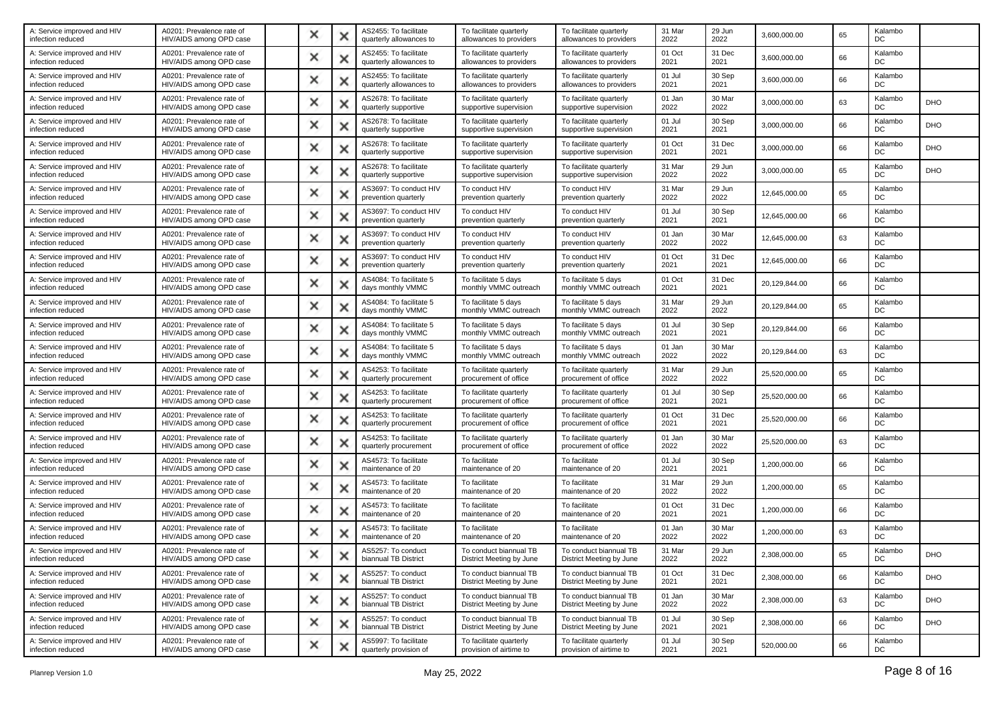| A: Service improved and HIV<br>infection reduced | A0201: Prevalence rate of<br>HIV/AIDS among OPD case | × |   | AS2455: To facilitate<br>quarterly allowances to | To facilitate quarterly<br>allowances to providers | To facilitate quarterly<br>allowances to providers | 31 Mar<br>2022 | 29 Jun<br>2022 | 3,600,000.00  | 65 | Kalambo<br>DC |            |
|--------------------------------------------------|------------------------------------------------------|---|---|--------------------------------------------------|----------------------------------------------------|----------------------------------------------------|----------------|----------------|---------------|----|---------------|------------|
| A: Service improved and HIV<br>infection reduced | A0201: Prevalence rate of<br>HIV/AIDS among OPD case | × | х | AS2455: To facilitate<br>quarterly allowances to | To facilitate quarterly<br>allowances to providers | To facilitate quarterly<br>allowances to providers | 01 Oct<br>2021 | 31 Dec<br>2021 | 3,600,000.00  | 66 | Kalambo<br>DC |            |
| A: Service improved and HIV<br>infection reduced | A0201: Prevalence rate of<br>HIV/AIDS among OPD case | × | × | AS2455: To facilitate<br>quarterly allowances to | To facilitate quarterly<br>allowances to providers | To facilitate quarterly<br>allowances to providers | 01 Jul<br>2021 | 30 Sep<br>2021 | 3,600,000.00  | 66 | Kalambo<br>DC |            |
| A: Service improved and HIV<br>infection reduced | A0201: Prevalence rate of<br>HIV/AIDS among OPD case | × |   | AS2678: To facilitate<br>quarterly supportive    | To facilitate quarterly<br>supportive supervision  | To facilitate quarterly<br>supportive supervision  | 01 Jan<br>2022 | 30 Mar<br>2022 | 3,000,000.00  | 63 | Kalambo<br>DC | <b>DHO</b> |
| A: Service improved and HIV<br>infection reduced | A0201: Prevalence rate of<br>HIV/AIDS among OPD case | × | х | AS2678: To facilitate<br>quarterly supportive    | To facilitate quarterly<br>supportive supervision  | To facilitate quarterly<br>supportive supervision  | 01 Jul<br>2021 | 30 Sep<br>2021 | 3,000,000.00  | 66 | Kalambo<br>DC | <b>DHO</b> |
| A: Service improved and HIV<br>infection reduced | A0201: Prevalence rate of<br>HIV/AIDS among OPD case | × | × | AS2678: To facilitate<br>quarterly supportive    | To facilitate quarterly<br>supportive supervision  | To facilitate quarterly<br>supportive supervision  | 01 Oct<br>2021 | 31 Dec<br>2021 | 3,000,000.00  | 66 | Kalambo<br>DC | DHO        |
| A: Service improved and HIV<br>infection reduced | A0201: Prevalence rate of<br>HIV/AIDS among OPD case | × | x | AS2678: To facilitate<br>quarterly supportive    | To facilitate quarterly<br>supportive supervision  | To facilitate quarterly<br>supportive supervision  | 31 Mar<br>2022 | 29 Jun<br>2022 | 3,000,000.00  | 65 | Kalambo<br>DC | DHO        |
| A: Service improved and HIV<br>infection reduced | A0201: Prevalence rate of<br>HIV/AIDS among OPD case | × | х | AS3697: To conduct HIV<br>prevention quarterly   | To conduct HIV<br>prevention quarterly             | To conduct HIV<br>prevention quarterly             | 31 Mar<br>2022 | 29 Jun<br>2022 | 12,645,000.00 | 65 | Kalambo<br>DC |            |
| A: Service improved and HIV<br>infection reduced | A0201: Prevalence rate of<br>HIV/AIDS among OPD case | × | x | AS3697: To conduct HIV<br>prevention quarterly   | To conduct HIV<br>prevention quarterly             | To conduct HIV<br>prevention quarterly             | 01 Jul<br>2021 | 30 Sep<br>2021 | 12,645,000.00 | 66 | Kalambo<br>DC |            |
| A: Service improved and HIV<br>infection reduced | A0201: Prevalence rate of<br>HIV/AIDS among OPD case | × |   | AS3697: To conduct HIV<br>prevention quarterly   | To conduct HIV<br>prevention quarterly             | To conduct HIV<br>prevention quarterly             | 01 Jan<br>2022 | 30 Mar<br>2022 | 12,645,000.00 | 63 | Kalambo<br>DC |            |
| A: Service improved and HIV<br>infection reduced | A0201: Prevalence rate of<br>HIV/AIDS among OPD case | × | x | AS3697: To conduct HIV<br>prevention quarterly   | To conduct HIV<br>prevention quarterly             | To conduct HIV<br>prevention quarterly             | 01 Oct<br>2021 | 31 Dec<br>2021 | 12,645,000.00 | 66 | Kalambo<br>DC |            |
| A: Service improved and HIV<br>infection reduced | A0201: Prevalence rate of<br>HIV/AIDS among OPD case | × | x | AS4084: To facilitate 5<br>days monthly VMMC     | To facilitate 5 davs<br>monthly VMMC outreach      | To facilitate 5 days<br>monthly VMMC outreach      | 01 Oct<br>2021 | 31 Dec<br>2021 | 20,129,844.00 | 66 | Kalambo<br>DC |            |
| A: Service improved and HIV<br>infection reduced | A0201: Prevalence rate of<br>HIV/AIDS among OPD case | × |   | AS4084: To facilitate 5<br>days monthly VMMC     | To facilitate 5 days<br>monthly VMMC outreach      | To facilitate 5 days<br>monthly VMMC outreach      | 31 Mar<br>2022 | 29 Jun<br>2022 | 20,129,844.00 | 65 | Kalambo<br>DC |            |
| A: Service improved and HIV<br>infection reduced | A0201: Prevalence rate of<br>HIV/AIDS among OPD case | × | х | AS4084: To facilitate 5<br>days monthly VMMC     | To facilitate 5 days<br>monthly VMMC outreach      | To facilitate 5 days<br>monthly VMMC outreach      | 01 Jul<br>2021 | 30 Sep<br>2021 | 20.129.844.00 | 66 | Kalambo<br>DC |            |
| A: Service improved and HIV<br>infection reduced | A0201: Prevalence rate of<br>HIV/AIDS among OPD case | × | x | AS4084: To facilitate 5<br>days monthly VMMC     | To facilitate 5 days<br>monthly VMMC outreach      | To facilitate 5 days<br>monthly VMMC outreach      | 01 Jan<br>2022 | 30 Mar<br>2022 | 20,129,844.00 | 63 | Kalambo<br>DC |            |
| A: Service improved and HIV<br>infection reduced | A0201: Prevalence rate of<br>HIV/AIDS among OPD case | × |   | AS4253: To facilitate<br>quarterly procurement   | To facilitate quarterly<br>procurement of office   | To facilitate quarterly<br>procurement of office   | 31 Mar<br>2022 | 29 Jun<br>2022 | 25,520,000.00 | 65 | Kalambo<br>DC |            |
| A: Service improved and HIV<br>infection reduced | A0201: Prevalence rate of<br>HIV/AIDS among OPD case | × | × | AS4253: To facilitate<br>quarterly procurement   | To facilitate quarterly<br>procurement of office   | To facilitate quarterly<br>procurement of office   | 01 Jul<br>2021 | 30 Sep<br>2021 | 25,520,000.00 | 66 | Kalambo<br>DC |            |
| A: Service improved and HIV<br>infection reduced | A0201: Prevalence rate of<br>HIV/AIDS among OPD case | × | x | AS4253: To facilitate<br>quarterly procurement   | To facilitate quarterly<br>procurement of office   | To facilitate quarterly<br>procurement of office   | 01 Oct<br>2021 | 31 Dec<br>2021 | 25,520,000.00 | 66 | Kalambo<br>DC |            |
| A: Service improved and HIV<br>infection reduced | A0201: Prevalence rate of<br>HIV/AIDS among OPD case | × |   | AS4253: To facilitate<br>quarterly procurement   | To facilitate quarterly<br>procurement of office   | To facilitate quarterly<br>procurement of office   | 01 Jan<br>2022 | 30 Mar<br>2022 | 25,520,000.00 | 63 | Kalambo<br>DC |            |
| A: Service improved and HIV<br>infection reduced | A0201: Prevalence rate of<br>HIV/AIDS among OPD case | × | х | AS4573: To facilitate<br>maintenance of 20       | To facilitate<br>maintenance of 20                 | To facilitate<br>maintenance of 20                 | 01 Jul<br>2021 | 30 Sep<br>2021 | 1,200,000.00  | 66 | Kalambo<br>DC |            |
| A: Service improved and HIV<br>infection reduced | A0201: Prevalence rate of<br>HIV/AIDS among OPD case | × | x | AS4573: To facilitate<br>maintenance of 20       | To facilitate<br>maintenance of 20                 | To facilitate<br>maintenance of 20                 | 31 Mar<br>2022 | 29 Jun<br>2022 | 1,200,000.00  | 65 | Kalambo<br>DC |            |
| A: Service improved and HIV<br>infection reduced | A0201: Prevalence rate of<br>HIV/AIDS among OPD case | × | × | AS4573: To facilitate<br>maintenance of 20       | To facilitate<br>maintenance of 20                 | To facilitate<br>maintenance of 20                 | 01 Oct<br>2021 | 31 Dec<br>2021 | 1,200,000.00  | 66 | Kalambo<br>DC |            |
| A: Service improved and HIV<br>infection reduced | A0201: Prevalence rate of<br>HIV/AIDS among OPD case | × | х | AS4573: To facilitate<br>maintenance of 20       | To facilitate<br>maintenance of 20                 | To facilitate<br>maintenance of 20                 | 01 Jan<br>2022 | 30 Mar<br>2022 | 1,200,000.00  | 63 | Kalambo<br>DC |            |
| A: Service improved and HIV<br>infection reduced | A0201: Prevalence rate of<br>HIV/AIDS among OPD case |   | v | AS5257: To conduct<br>biannual TB District       | To conduct biannual TB<br>District Meeting by June | To conduct biannual TB<br>District Meeting by June | 31 Mar<br>2022 | 29 Jun<br>2022 | 2.308.000.00  | 65 | Kalambo<br>DC | DHO        |
| A: Service improved and HIV<br>infection reduced | A0201: Prevalence rate of<br>HIV/AIDS among OPD case | × | × | AS5257: To conduct<br>biannual TB District       | To conduct biannual TB<br>District Meeting by June | To conduct biannual TB<br>District Meeting by June | 01 Oct<br>2021 | 31 Dec<br>2021 | 2,308,000.00  | 66 | Kalambo<br>DC | <b>DHO</b> |
| A: Service improved and HIV<br>infection reduced | A0201: Prevalence rate of<br>HIV/AIDS among OPD case | × | × | AS5257: To conduct<br>biannual TB District       | To conduct biannual TB<br>District Meeting by June | To conduct biannual TB<br>District Meeting by June | 01 Jan<br>2022 | 30 Mar<br>2022 | 2,308,000.00  | 63 | Kalambo<br>DC | DHO        |
| A: Service improved and HIV<br>infection reduced | A0201: Prevalence rate of<br>HIV/AIDS among OPD case | × | × | AS5257: To conduct<br>biannual TB District       | To conduct biannual TB<br>District Meeting by June | To conduct biannual TB<br>District Meeting by June | 01 Jul<br>2021 | 30 Sep<br>2021 | 2,308,000.00  | 66 | Kalambo<br>DC | <b>DHO</b> |
| A: Service improved and HIV<br>infection reduced | A0201: Prevalence rate of<br>HIV/AIDS among OPD case | × | × | AS5997: To facilitate<br>quarterly provision of  | To facilitate quarterly<br>provision of airtime to | To facilitate quarterly<br>provision of airtime to | 01 Jul<br>2021 | 30 Sep<br>2021 | 520,000.00    | 66 | Kalambo<br>DC |            |
|                                                  |                                                      |   |   |                                                  |                                                    |                                                    |                |                |               |    |               |            |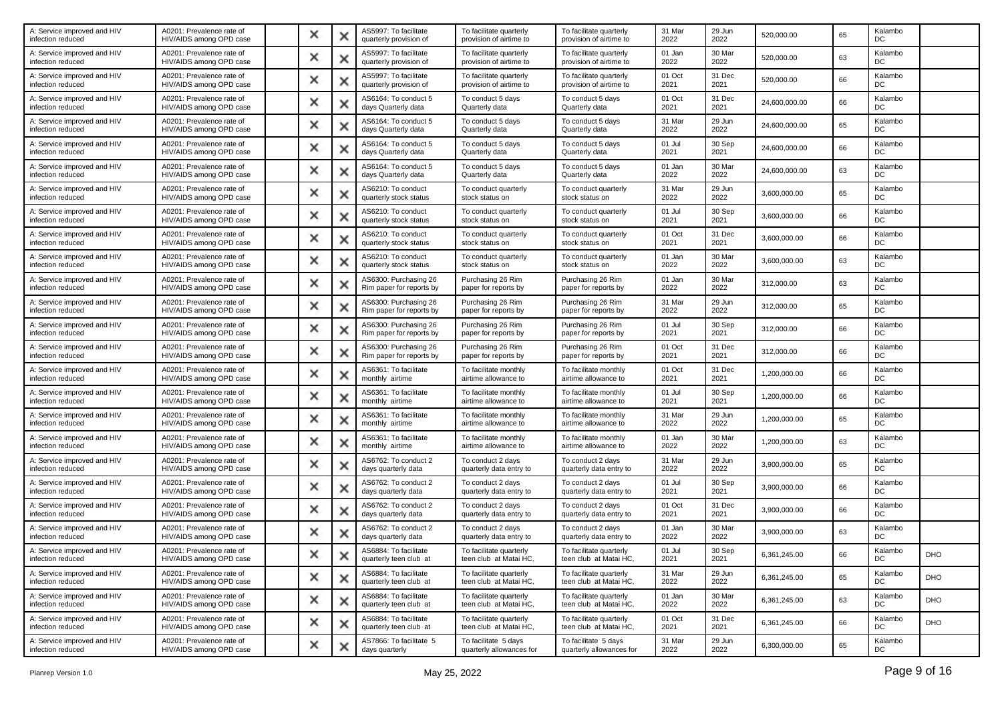| A: Service improved and HIV<br>infection reduced | A0201: Prevalence rate of<br>HIV/AIDS among OPD case | × | x | AS5997: To facilitate<br>quarterly provision of   | To facilitate quarterly<br>provision of airtime to | To facilitate quarterly<br>provision of airtime to | 31 Mar<br>2022 | 29 Jun<br>2022 | 520,000.00    | 65 | Kalambo<br>DC |            |
|--------------------------------------------------|------------------------------------------------------|---|---|---------------------------------------------------|----------------------------------------------------|----------------------------------------------------|----------------|----------------|---------------|----|---------------|------------|
| A: Service improved and HIV<br>infection reduced | A0201: Prevalence rate of<br>HIV/AIDS among OPD case | × | х | AS5997: To facilitate<br>quarterly provision of   | To facilitate quarterly<br>provision of airtime to | To facilitate quarterly<br>provision of airtime to | 01 Jan<br>2022 | 30 Mar<br>2022 | 520,000.00    | 63 | Kalambo<br>DC |            |
| A: Service improved and HIV<br>infection reduced | A0201: Prevalence rate of<br>HIV/AIDS among OPD case | × | × | AS5997: To facilitate<br>quarterly provision of   | To facilitate quarterly<br>provision of airtime to | To facilitate quarterly<br>provision of airtime to | 01 Oct<br>2021 | 31 Dec<br>2021 | 520,000.00    | 66 | Kalambo<br>DC |            |
| A: Service improved and HIV<br>infection reduced | A0201: Prevalence rate of<br>HIV/AIDS among OPD case | × |   | AS6164: To conduct 5<br>days Quarterly data       | To conduct 5 days<br>Quarterly data                | To conduct 5 days<br>Quarterly data                | 01 Oct<br>2021 | 31 Dec<br>2021 | 24,600,000.00 | 66 | Kalambo<br>DC |            |
| A: Service improved and HIV<br>infection reduced | A0201: Prevalence rate of<br>HIV/AIDS among OPD case | × | х | AS6164: To conduct 5<br>days Quarterly data       | To conduct 5 days<br>Quarterly data                | To conduct 5 days<br>Quarterly data                | 31 Mar<br>2022 | 29 Jun<br>2022 | 24,600,000.00 | 65 | Kalambo<br>DC |            |
| A: Service improved and HIV<br>infection reduced | A0201: Prevalence rate of<br>HIV/AIDS among OPD case | × | x | AS6164: To conduct 5<br>days Quarterly data       | To conduct 5 days<br>Quarterly data                | To conduct 5 days<br>Quarterly data                | 01 Jul<br>2021 | 30 Sep<br>2021 | 24.600.000.00 | 66 | Kalambo<br>DC |            |
| A: Service improved and HIV<br>infection reduced | A0201: Prevalence rate of<br>HIV/AIDS among OPD case | × | х | AS6164: To conduct 5<br>days Quarterly data       | To conduct 5 days<br>Quarterly data                | To conduct 5 days<br>Quarterly data                | 01 Jan<br>2022 | 30 Mar<br>2022 | 24,600,000.00 | 63 | Kalambo<br>DC |            |
| A: Service improved and HIV<br>infection reduced | A0201: Prevalence rate of<br>HIV/AIDS among OPD case | × | х | AS6210: To conduct<br>quarterly stock status      | To conduct quarterly<br>stock status on            | To conduct quarterly<br>stock status on            | 31 Mar<br>2022 | 29 Jun<br>2022 | 3,600,000.00  | 65 | Kalambo<br>DC |            |
| A: Service improved and HIV<br>infection reduced | A0201: Prevalence rate of<br>HIV/AIDS among OPD case | × | × | AS6210: To conduct<br>quarterly stock status      | To conduct quarterly<br>stock status on            | To conduct quarterly<br>stock status on            | 01 Jul<br>2021 | 30 Sep<br>2021 | 3,600,000.00  | 66 | Kalambo<br>DC |            |
| A: Service improved and HIV<br>infection reduced | A0201: Prevalence rate of<br>HIV/AIDS among OPD case | × | × | AS6210: To conduct<br>quarterly stock status      | To conduct quarterly<br>stock status on            | To conduct quarterly<br>stock status on            | 01 Oct<br>2021 | 31 Dec<br>2021 | 3,600,000.00  | 66 | Kalambo<br>DC |            |
| A: Service improved and HIV<br>infection reduced | A0201: Prevalence rate of<br>HIV/AIDS among OPD case | × | x | AS6210: To conduct<br>quarterly stock status      | To conduct quarterly<br>stock status on            | To conduct quarterly<br>stock status on            | 01 Jan<br>2022 | 30 Mar<br>2022 | 3,600,000.00  | 63 | Kalambo<br>DC |            |
| A: Service improved and HIV<br>infection reduced | A0201: Prevalence rate of<br>HIV/AIDS among OPD case | × | x | AS6300: Purchasing 26<br>Rim paper for reports by | Purchasing 26 Rim<br>paper for reports by          | Purchasing 26 Rim<br>paper for reports by          | 01 Jan<br>2022 | 30 Mar<br>2022 | 312,000.00    | 63 | Kalambo<br>DC |            |
| A: Service improved and HIV<br>infection reduced | A0201: Prevalence rate of<br>HIV/AIDS among OPD case | × | Ж | AS6300: Purchasing 26<br>Rim paper for reports by | Purchasing 26 Rim<br>paper for reports by          | Purchasing 26 Rim<br>paper for reports by          | 31 Mar<br>2022 | 29 Jun<br>2022 | 312,000.00    | 65 | Kalambo<br>DC |            |
| A: Service improved and HIV<br>infection reduced | A0201: Prevalence rate of<br>HIV/AIDS among OPD case | × | х | AS6300: Purchasing 26<br>Rim paper for reports by | Purchasing 26 Rim<br>paper for reports by          | Purchasing 26 Rim<br>paper for reports by          | 01 Jul<br>2021 | 30 Sep<br>2021 | 312,000.00    | 66 | Kalambo<br>DC |            |
| A: Service improved and HIV<br>infection reduced | A0201: Prevalence rate of<br>HIV/AIDS among OPD case | × | × | AS6300: Purchasing 26<br>Rim paper for reports by | Purchasing 26 Rim<br>paper for reports by          | Purchasing 26 Rim<br>paper for reports by          | 01 Oct<br>2021 | 31 Dec<br>2021 | 312,000.00    | 66 | Kalambo<br>DC |            |
| A: Service improved and HIV<br>infection reduced | A0201: Prevalence rate of<br>HIV/AIDS among OPD case | × | × | AS6361: To facilitate<br>monthly airtime          | To facilitate monthly<br>airtime allowance to      | To facilitate monthly<br>airtime allowance to      | 01 Oct<br>2021 | 31 Dec<br>2021 | 1,200,000.00  | 66 | Kalambo<br>DC |            |
| A: Service improved and HIV<br>infection reduced | A0201: Prevalence rate of<br>HIV/AIDS among OPD case | × | x | AS6361: To facilitate<br>monthly airtime          | To facilitate monthly<br>airtime allowance to      | To facilitate monthly<br>airtime allowance to      | 01 Jul<br>2021 | 30 Sep<br>2021 | 1,200,000.00  | 66 | Kalambo<br>DC |            |
| A: Service improved and HIV<br>infection reduced | A0201: Prevalence rate of<br>HIV/AIDS among OPD case | × | x | AS6361: To facilitate<br>monthly airtime          | To facilitate monthly<br>airtime allowance to      | To facilitate monthly<br>airtime allowance to      | 31 Mar<br>2022 | 29 Jun<br>2022 | 1,200,000.00  | 65 | Kalambo<br>DC |            |
| A: Service improved and HIV<br>infection reduced | A0201: Prevalence rate of<br>HIV/AIDS among OPD case | × | x | AS6361: To facilitate<br>monthly airtime          | To facilitate monthly<br>airtime allowance to      | To facilitate monthly<br>airtime allowance to      | 01 Jan<br>2022 | 30 Mar<br>2022 | 1,200,000.00  | 63 | Kalambo<br>DC |            |
| A: Service improved and HIV<br>infection reduced | A0201: Prevalence rate of<br>HIV/AIDS among OPD case | × | х | AS6762: To conduct 2<br>days quarterly data       | To conduct 2 days<br>quarterly data entry to       | To conduct 2 days<br>quarterly data entry to       | 31 Mar<br>2022 | 29 Jun<br>2022 | 3,900,000.00  | 65 | Kalambo<br>DC |            |
| A: Service improved and HIV<br>infection reduced | A0201: Prevalence rate of<br>HIV/AIDS among OPD case | × | × | AS6762: To conduct 2<br>days quarterly data       | To conduct 2 days<br>quarterly data entry to       | To conduct 2 days<br>quarterly data entry to       | 01 Jul<br>2021 | 30 Sep<br>2021 | 3,900,000.00  | 66 | Kalambo<br>DC |            |
| A: Service improved and HIV<br>infection reduced | A0201: Prevalence rate of<br>HIV/AIDS among OPD case | × | × | AS6762: To conduct 2<br>days quarterly data       | To conduct 2 days<br>quarterly data entry to       | To conduct 2 days<br>quarterly data entry to       | 01 Oct<br>2021 | 31 Dec<br>2021 | 3,900,000.00  | 66 | Kalambo<br>DC |            |
| A: Service improved and HIV<br>infection reduced | A0201: Prevalence rate of<br>HIV/AIDS among OPD case | × | х | AS6762: To conduct 2<br>days quarterly data       | To conduct 2 days<br>quarterly data entry to       | To conduct 2 days<br>quarterly data entry to       | 01 Jan<br>2022 | 30 Mar<br>2022 | 3,900,000.00  | 63 | Kalambo<br>DC |            |
| A: Service improved and HIV<br>infection reduced | A0201: Prevalence rate of<br>HIV/AIDS among OPD case |   |   | AS6884: To facilitate<br>quarterly teen club at   | To facilitate quarterly<br>teen club at Matai HC,  | To facilitate quarterly<br>teen club at Matai HC,  | 01 Jul<br>2021 | 30 Sep<br>2021 | 6,361,245.00  | 66 | Kalambo<br>DC | DHO        |
| A: Service improved and HIV<br>infection reduced | A0201: Prevalence rate of<br>HIV/AIDS among OPD case | × | × | AS6884: To facilitate<br>quarterly teen club at   | To facilitate quarterly<br>teen club at Matai HC.  | To facilitate quarterly<br>teen club at Matai HC.  | 31 Mar<br>2022 | 29 Jun<br>2022 | 6,361,245.00  | 65 | Kalambo<br>DC | <b>DHO</b> |
| A: Service improved and HIV<br>infection reduced | A0201: Prevalence rate of<br>HIV/AIDS among OPD case | × | x | AS6884: To facilitate<br>quarterly teen club at   | To facilitate quarterly<br>teen club at Matai HC,  | To facilitate quarterly<br>teen club at Matai HC,  | 01 Jan<br>2022 | 30 Mar<br>2022 | 6,361,245.00  | 63 | Kalambo<br>DC | <b>DHO</b> |
| A: Service improved and HIV<br>infection reduced | A0201: Prevalence rate of<br>HIV/AIDS among OPD case | × | × | AS6884: To facilitate<br>quarterly teen club at   | To facilitate quarterly<br>teen club at Matai HC.  | To facilitate quarterly<br>teen club at Matai HC,  | 01 Oct<br>2021 | 31 Dec<br>2021 | 6,361,245.00  | 66 | Kalambo<br>DC | <b>DHO</b> |
| A: Service improved and HIV<br>infection reduced | A0201: Prevalence rate of<br>HIV/AIDS among OPD case | × | × | AS7866: To facilitate 5<br>days quarterly         | To facilitate 5 days<br>quarterly allowances for   | To facilitate 5 days<br>quarterly allowances for   | 31 Mar<br>2022 | 29 Jun<br>2022 | 6,300,000.00  | 65 | Kalambo<br>DC |            |
|                                                  |                                                      |   |   |                                                   |                                                    |                                                    |                |                |               |    |               |            |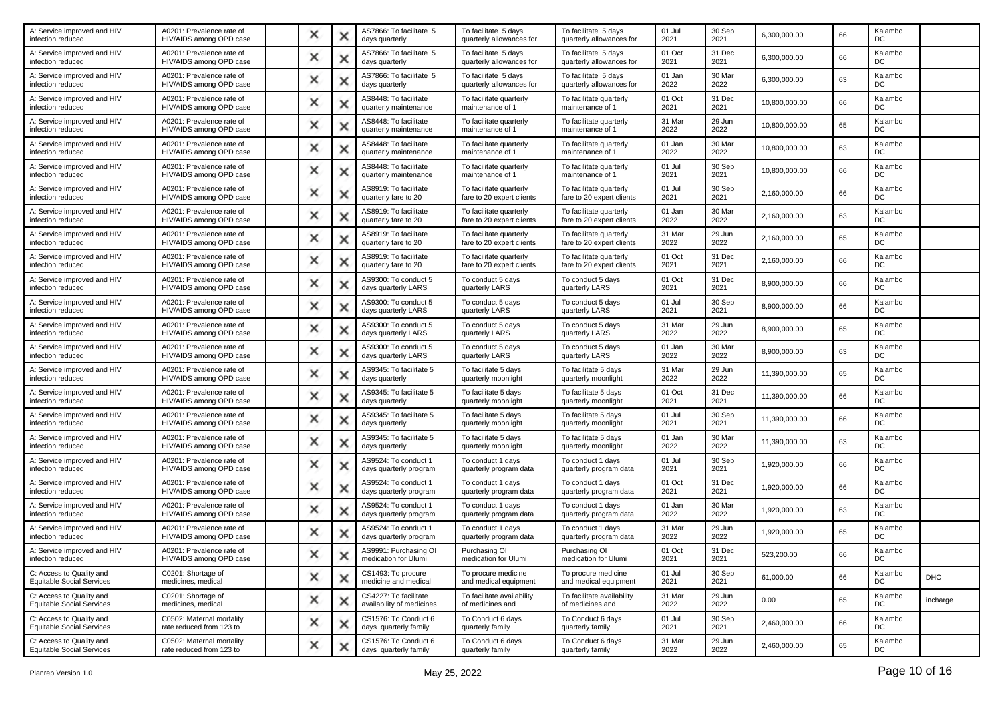| A: Service improved and HIV<br>infection reduced             | A0201: Prevalence rate of<br>HIV/AIDS among OPD case  | × |   | AS7866: To facilitate 5<br>days quarterly          | To facilitate 5 days<br>quarterly allowances for     | To facilitate 5 days<br>quarterly allowances for     | 01 Jul<br>2021 | 30 Sep<br>2021 | 6,300,000.00  | 66 | Kalambo<br>DC |            |
|--------------------------------------------------------------|-------------------------------------------------------|---|---|----------------------------------------------------|------------------------------------------------------|------------------------------------------------------|----------------|----------------|---------------|----|---------------|------------|
| A: Service improved and HIV<br>infection reduced             | A0201: Prevalence rate of<br>HIV/AIDS among OPD case  | × | х | AS7866: To facilitate 5<br>days quarterly          | To facilitate 5 days<br>quarterly allowances for     | To facilitate 5 days<br>quarterly allowances for     | 01 Oct<br>2021 | 31 Dec<br>2021 | 6,300,000.00  | 66 | Kalambo<br>DC |            |
| A: Service improved and HIV<br>infection reduced             | A0201: Prevalence rate of<br>HIV/AIDS among OPD case  | × | × | AS7866: To facilitate 5<br>days quarterly          | To facilitate 5 days<br>quarterly allowances for     | To facilitate 5 days<br>quarterly allowances for     | 01 Jan<br>2022 | 30 Mar<br>2022 | 6,300,000.00  | 63 | Kalambo<br>DC |            |
| A: Service improved and HIV<br>infection reduced             | A0201: Prevalence rate of<br>HIV/AIDS among OPD case  | × |   | AS8448: To facilitate<br>quarterly maintenance     | To facilitate quarterly<br>maintenance of 1          | To facilitate quarterly<br>maintenance of 1          | 01 Oct<br>2021 | 31 Dec<br>2021 | 10,800,000.00 | 66 | Kalambo<br>DC |            |
| A: Service improved and HIV<br>infection reduced             | A0201: Prevalence rate of<br>HIV/AIDS among OPD case  | × | × | AS8448: To facilitate<br>quarterly maintenance     | To facilitate quarterly<br>maintenance of            | To facilitate quarterly<br>maintenance of 1          | 31 Mar<br>2022 | 29 Jun<br>2022 | 10,800,000.00 | 65 | Kalambo<br>DC |            |
| A: Service improved and HIV<br>infection reduced             | A0201: Prevalence rate of<br>HIV/AIDS among OPD case  | × | × | AS8448: To facilitate<br>quarterly maintenance     | To facilitate quarterly<br>maintenance of 1          | To facilitate quarterly<br>maintenance of 1          | 01 Jan<br>2022 | 30 Mar<br>2022 | 10,800,000.00 | 63 | Kalambo<br>DC |            |
| A: Service improved and HIV<br>infection reduced             | A0201: Prevalence rate of<br>HIV/AIDS among OPD case  | × |   | AS8448: To facilitate<br>quarterly maintenance     | To facilitate quarterly<br>maintenance of 1          | To facilitate quarterly<br>maintenance of 1          | 01 Jul<br>2021 | 30 Sep<br>2021 | 10,800,000.00 | 66 | Kalambo<br>DC |            |
| A: Service improved and HIV<br>infection reduced             | A0201: Prevalence rate of<br>HIV/AIDS among OPD case  | × | х | AS8919: To facilitate<br>quarterly fare to 20      | To facilitate quarterly<br>fare to 20 expert clients | To facilitate quarterly<br>fare to 20 expert clients | 01 Jul<br>2021 | 30 Sep<br>2021 | 2,160,000.00  | 66 | Kalambo<br>DC |            |
| A: Service improved and HIV<br>infection reduced             | A0201: Prevalence rate of<br>HIV/AIDS among OPD case  | × | × | AS8919: To facilitate<br>quarterly fare to 20      | To facilitate quarterly<br>fare to 20 expert clients | To facilitate quarterly<br>fare to 20 expert clients | 01 Jan<br>2022 | 30 Mar<br>2022 | 2,160,000.00  | 63 | Kalambo<br>DC |            |
| A: Service improved and HIV<br>infection reduced             | A0201: Prevalence rate of<br>HIV/AIDS among OPD case  | × |   | AS8919: To facilitate<br>quarterly fare to 20      | To facilitate quarterly<br>fare to 20 expert clients | To facilitate quarterly<br>fare to 20 expert clients | 31 Mar<br>2022 | 29 Jun<br>2022 | 2,160,000.00  | 65 | Kalambo<br>DC |            |
| A: Service improved and HIV<br>infection reduced             | A0201: Prevalence rate of<br>HIV/AIDS among OPD case  | × | × | AS8919: To facilitate<br>quarterly fare to 20      | To facilitate quarterly<br>fare to 20 expert clients | To facilitate quarterly<br>fare to 20 expert clients | 01 Oct<br>2021 | 31 Dec<br>2021 | 2,160,000.00  | 66 | Kalambo<br>DC |            |
| A: Service improved and HIV<br>infection reduced             | A0201: Prevalence rate of<br>HIV/AIDS among OPD case  | × | x | AS9300: To conduct 5<br>days quarterly LARS        | To conduct 5 days<br>quarterly LARS                  | To conduct 5 days<br>quarterly LARS                  | 01 Oct<br>2021 | 31 Dec<br>2021 | 8,900,000.00  | 66 | Kalambo<br>DC |            |
| A: Service improved and HIV<br>infection reduced             | A0201: Prevalence rate of<br>HIV/AIDS among OPD case  | × | × | AS9300: To conduct 5<br>days quarterly LARS        | To conduct 5 days<br>quarterly LARS                  | To conduct 5 days<br>quarterly LARS                  | 01 Jul<br>2021 | 30 Sep<br>2021 | 8,900,000.00  | 66 | Kalambo<br>DC |            |
| A: Service improved and HIV<br>infection reduced             | A0201: Prevalence rate of<br>HIV/AIDS among OPD case  | × | х | AS9300: To conduct 5<br>days quarterly LARS        | To conduct 5 days<br>quarterly LARS                  | To conduct 5 days<br>quarterly LARS                  | 31 Mar<br>2022 | 29 Jun<br>2022 | 8,900,000.00  | 65 | Kalambo<br>DC |            |
| A: Service improved and HIV<br>infection reduced             | A0201: Prevalence rate of<br>HIV/AIDS among OPD case  | × | × | AS9300: To conduct 5<br>days quarterly LARS        | To conduct 5 days<br>quarterly LARS                  | To conduct 5 days<br>quarterly LARS                  | 01 Jan<br>2022 | 30 Mar<br>2022 | 8,900,000.00  | 63 | Kalambo<br>DC |            |
| A: Service improved and HIV<br>infection reduced             | A0201: Prevalence rate of<br>HIV/AIDS among OPD case  | × |   | AS9345: To facilitate 5<br>days quarterly          | To facilitate 5 days<br>quarterly moonlight          | To facilitate 5 days<br>quarterly moonlight          | 31 Mar<br>2022 | 29 Jun<br>2022 | 11,390,000.00 | 65 | Kalambo<br>DC |            |
| A: Service improved and HIV<br>infection reduced             | A0201: Prevalence rate of<br>HIV/AIDS among OPD case  | × | × | AS9345: To facilitate 5<br>days quarterly          | To facilitate 5 days<br>quarterly moonlight          | To facilitate 5 days<br>quarterly moonlight          | 01 Oct<br>2021 | 31 Dec<br>2021 | 11,390,000.00 | 66 | Kalambo<br>DC |            |
| A: Service improved and HIV<br>infection reduced             | A0201: Prevalence rate of<br>HIV/AIDS among OPD case  | × | × | AS9345: To facilitate 5<br>days quarterly          | To facilitate 5 days<br>quarterly moonlight          | To facilitate 5 days<br>quarterly moonlight          | 01 Jul<br>2021 | 30 Sep<br>2021 | 11,390,000.00 | 66 | Kalambo<br>DC |            |
| A: Service improved and HIV<br>infection reduced             | A0201: Prevalence rate of<br>HIV/AIDS among OPD case  | × | × | AS9345: To facilitate 5<br>days quarterly          | To facilitate 5 days<br>quarterly moonlight          | To facilitate 5 days<br>quarterly moonlight          | 01 Jan<br>2022 | 30 Mar<br>2022 | 11,390,000.00 | 63 | Kalambo<br>DC |            |
| A: Service improved and HIV<br>infection reduced             | A0201: Prevalence rate of<br>HIV/AIDS among OPD case  | × | х | AS9524: To conduct 1<br>days quarterly program     | To conduct 1 days<br>quarterly program data          | To conduct 1 days<br>quarterly program data          | 01 Jul<br>2021 | 30 Sep<br>2021 | 1,920,000.00  | 66 | Kalambo<br>DC |            |
| A: Service improved and HIV<br>infection reduced             | A0201: Prevalence rate of<br>HIV/AIDS among OPD case  | × | × | AS9524: To conduct 1<br>days quarterly program     | To conduct 1 days<br>quarterly program data          | To conduct 1 days<br>quarterly program data          | 01 Oct<br>2021 | 31 Dec<br>2021 | 1,920,000.00  | 66 | Kalambo<br>DC |            |
| A: Service improved and HIV<br>infection reduced             | A0201: Prevalence rate of<br>HIV/AIDS among OPD case  | × |   | AS9524: To conduct 1<br>days quarterly program     | To conduct 1 days<br>quarterly program data          | To conduct 1 days<br>quarterly program data          | 01 Jan<br>2022 | 30 Mar<br>2022 | 1,920,000.00  | 63 | Kalambo<br>DC |            |
| A: Service improved and HIV<br>infection reduced             | A0201: Prevalence rate of<br>HIV/AIDS among OPD case  | × | × | AS9524: To conduct 1<br>days quarterly program     | To conduct 1 days<br>quarterly program data          | To conduct 1 days<br>quarterly program data          | 31 Mar<br>2022 | 29 Jun<br>2022 | 1,920,000.00  | 65 | Kalambo<br>DC |            |
| A: Service improved and HIV<br>infection reduced             | A0201: Prevalence rate of<br>HIV/AIDS among OPD case  |   | v | AS9991: Purchasing OI<br>medication for Ulumi      | Purchasing OI<br>medication for Ulumi                | Purchasing OI<br>medication for Ulumi                | 01 Oct<br>2021 | 31 Dec<br>2021 | 523,200.00    | 66 | Kalambo<br>DC |            |
| C: Access to Quality and<br><b>Equitable Social Services</b> | C0201: Shortage of<br>medicines, medical              | × | × | CS1493: To procure<br>medicine and medical         | To procure medicine<br>and medical equipment         | To procure medicine<br>and medical equipment         | 01 Jul<br>2021 | 30 Sep<br>2021 | 61,000.00     | 66 | Kalambo<br>DC | <b>DHO</b> |
| C: Access to Quality and<br>Equitable Social Services        | C0201: Shortage of<br>medicines, medical              | × | х | CS4227: To facilitate<br>availability of medicines | To facilitate availability<br>of medicines and       | To facilitate availability<br>of medicines and       | 31 Mar<br>2022 | 29 Jun<br>2022 | 0.00          | 65 | Kalambo<br>DC | incharge   |
| C: Access to Quality and<br><b>Equitable Social Services</b> | C0502: Maternal mortality<br>rate reduced from 123 to | × | × | CS1576: To Conduct 6<br>days quarterly family      | To Conduct 6 days<br>quarterly family                | To Conduct 6 days<br>quarterly family                | 01 Jul<br>2021 | 30 Sep<br>2021 | 2,460,000.00  | 66 | Kalambo<br>DC |            |
| C: Access to Quality and<br><b>Equitable Social Services</b> | C0502: Maternal mortality<br>rate reduced from 123 to | × | × | CS1576: To Conduct 6<br>days quarterly family      | To Conduct 6 days<br>quarterly family                | To Conduct 6 days<br>quarterly family                | 31 Mar<br>2022 | 29 Jun<br>2022 | 2,460,000.00  | 65 | Kalambo<br>DC |            |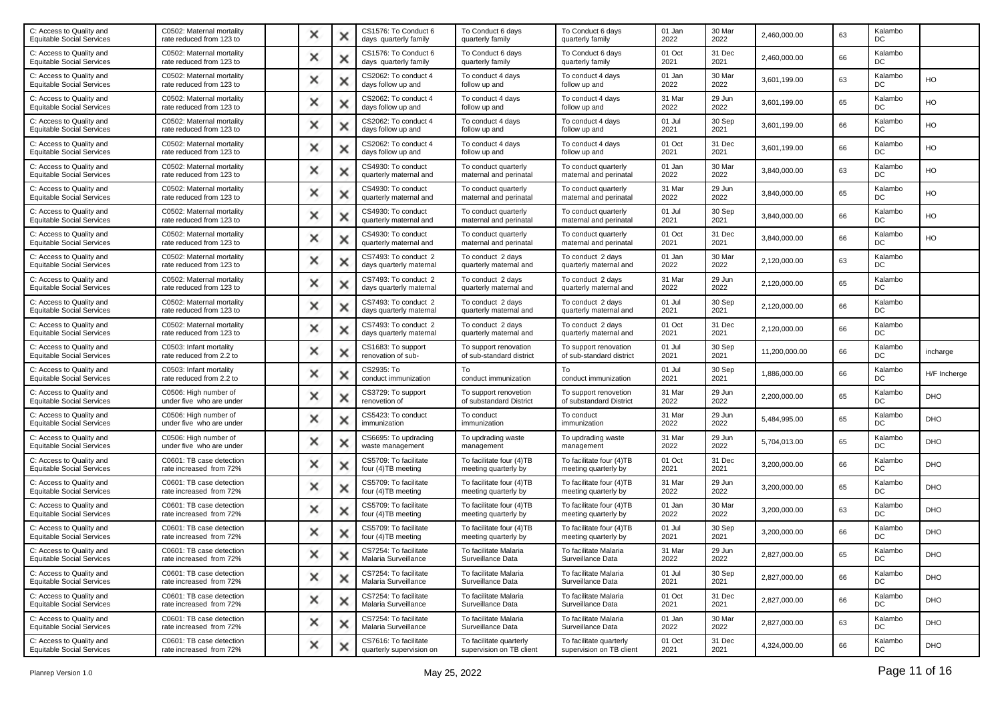| C0502: Maternal mortality<br>rate reduced from 123 to | × |   | CS1576: To Conduct 6<br>days quarterly family     | To Conduct 6 days<br>quarterly family               | To Conduct 6 days<br>quarterly family               | 01 Jan<br>2022 | 30 Mar<br>2022 | 2,460,000.00  | 63 | Kalambo<br>DC  |              |
|-------------------------------------------------------|---|---|---------------------------------------------------|-----------------------------------------------------|-----------------------------------------------------|----------------|----------------|---------------|----|----------------|--------------|
| C0502: Maternal mortality<br>rate reduced from 123 to | × |   | CS1576: To Conduct 6<br>days quarterly family     | To Conduct 6 days<br>quarterly family               | To Conduct 6 days<br>quarterly family               | 01 Oct<br>2021 | 31 Dec<br>2021 | 2,460,000.00  | 66 | Kalambo<br>DC  |              |
| C0502: Maternal mortality<br>rate reduced from 123 to | × | × | CS2062: To conduct 4<br>days follow up and        | To conduct 4 days<br>follow up and                  | To conduct 4 days<br>follow up and                  | 01 Jan<br>2022 | 30 Mar<br>2022 | 3,601,199.00  | 63 | Kalambo<br>DC  | HO           |
| C0502: Maternal mortality<br>rate reduced from 123 to | × |   | CS2062: To conduct 4<br>days follow up and        | To conduct 4 days<br>follow up and                  | To conduct 4 days<br>follow up and                  | 31 Mar<br>2022 | 29 Jun<br>2022 | 3,601,199.00  | 65 | Kalambo<br>DC  | HO           |
| C0502: Maternal mortality<br>rate reduced from 123 to | × |   | CS2062: To conduct 4<br>days follow up and        | To conduct 4 days<br>follow up and                  | To conduct 4 days<br>follow up and                  | 01 Jul<br>2021 | 30 Sep<br>2021 | 3,601,199.00  | 66 | Kalambo<br>DC  | HO           |
| C0502: Maternal mortality<br>rate reduced from 123 to | × | х | CS2062: To conduct 4<br>days follow up and        | To conduct 4 days<br>follow up and                  | To conduct 4 days<br>follow up and                  | 01 Oct<br>2021 | 31 Dec<br>2021 | 3,601,199.00  | 66 | Kalambo<br>DC  | HO           |
| C0502: Maternal mortality<br>rate reduced from 123 to | × |   | CS4930: To conduct<br>quarterly maternal and      | To conduct quarterly<br>maternal and perinatal      | To conduct quarterly<br>maternal and perinatal      | 01 Jan<br>2022 | 30 Mar<br>2022 | 3,840,000.00  | 63 | Kalambo<br>DC  | HO           |
| C0502: Maternal mortality<br>rate reduced from 123 to | × |   | CS4930: To conduct<br>quarterly maternal and      | To conduct quarterly<br>maternal and perinatal      | To conduct quarterly<br>maternal and perinatal      | 31 Mar<br>2022 | 29 Jun<br>2022 | 3,840,000.00  | 65 | Kalambo<br>DC  | HO           |
| C0502: Maternal mortality<br>rate reduced from 123 to | × | Ж | CS4930: To conduct<br>quarterly maternal and      | To conduct quarterly<br>maternal and perinatal      | To conduct quarterly<br>maternal and perinatal      | 01 Jul<br>2021 | 30 Sep<br>2021 | 3,840,000.00  | 66 | Kalambo<br>DC  | HO           |
| C0502: Maternal mortality<br>rate reduced from 123 to | × |   | CS4930: To conduct<br>quarterly maternal and      | To conduct quarterly<br>maternal and perinatal      | To conduct quarterly<br>maternal and perinatal      | 01 Oct<br>2021 | 31 Dec<br>2021 | 3,840,000.00  | 66 | Kalambo<br>DC  | HO           |
| C0502: Maternal mortality<br>rate reduced from 123 to | × |   | CS7493: To conduct 2<br>days quarterly maternal   | To conduct 2 days<br>quarterly maternal and         | To conduct 2 days<br>quarterly maternal and         | 01 Jan<br>2022 | 30 Mar<br>2022 | 2,120,000.00  | 63 | Kalambo<br>DC  |              |
| C0502: Maternal mortality<br>rate reduced from 123 to | × | х | CS7493: To conduct 2<br>days quarterly maternal   | To conduct 2 days<br>quarterly maternal and         | To conduct 2 days<br>quarterly maternal and         | 31 Mar<br>2022 | 29 Jun<br>2022 | 2,120,000.00  | 65 | Kalambo<br>DC  |              |
| C0502: Maternal mortality<br>rate reduced from 123 to | × |   | CS7493: To conduct 2<br>days quarterly maternal   | To conduct 2 days<br>quarterly maternal and         | To conduct 2 days<br>quarterly maternal and         | 01 Jul<br>2021 | 30 Sep<br>2021 | 2,120,000.00  | 66 | Kalambo<br>DC  |              |
| C0502: Maternal mortality<br>rate reduced from 123 to | × |   | CS7493: To conduct 2<br>days quarterly maternal   | To conduct 2 days<br>quarterly maternal and         | To conduct 2 days<br>quarterly maternal and         | 01 Oct<br>2021 | 31 Dec<br>2021 | 2,120,000.00  | 66 | Kalambo<br>DC  |              |
| C0503: Infant mortality<br>rate reduced from 2.2 to   | × | Ж | CS1683: To support<br>renovation of sub-          | To support renovation<br>of sub-standard district   | To support renovation<br>of sub-standard district   | 01 Jul<br>2021 | 30 Sep<br>2021 | 11,200,000.00 | 66 | Kalambo<br>DC  | incharge     |
| C0503: Infant mortality<br>rate reduced from 2.2 to   | × |   | CS2935: To<br>conduct immunization                | To<br>conduct immunization                          | To<br>conduct immunization                          | 01 Jul<br>2021 | 30 Sep<br>2021 | 1,886,000.00  | 66 | Kalambo<br>DC  | H/F Incherge |
| C0506: High number of<br>under five who are under     | × |   | CS3729: To support<br>renovetion of               | To support renovetion<br>of substandard District    | To support renovetion<br>of substandard District    | 31 Mar<br>2022 | 29 Jun<br>2022 | 2,200,000.00  | 65 | Kalambo<br>DC  | <b>DHO</b>   |
| C0506: High number of<br>under five who are under     | × | × | CS5423: To conduct<br>immunization                | To conduct<br>immunization                          | To conduct<br>immunization                          | 31 Mar<br>2022 | 29 Jun<br>2022 | 5,484,995.00  | 65 | Kalambo<br>DC  | DHO          |
| C0506: High number of<br>under five who are under     | × |   | CS6695: To updrading<br>waste management          | To updrading waste<br>management                    | To updrading waste<br>management                    | 31 Mar<br>2022 | 29 Jun<br>2022 | 5,704,013.00  | 65 | Kalambo<br>DC  | DHO          |
| C0601: TB case detection<br>rate increased from 72%   | × |   | CS5709: To facilitate<br>four (4)TB meeting       | To facilitate four (4)TB<br>meeting quarterly by    | To facilitate four (4)TB<br>meeting quarterly by    | 01 Oct<br>2021 | 31 Dec<br>2021 | 3,200,000.00  | 66 | Kalambo<br>DC  | DHO          |
| C0601: TB case detection<br>rate increased from 72%   | × | Ж | CS5709: To facilitate<br>four (4)TB meeting       | To facilitate four (4)TB<br>meeting quarterly by    | To facilitate four (4)TB<br>meeting quarterly by    | 31 Mar<br>2022 | 29 Jun<br>2022 | 3,200,000.00  | 65 | Kalambo<br>DC  | <b>DHO</b>   |
| C0601: TB case detection<br>rate increased from 72%   | × |   | CS5709: To facilitate<br>four (4) TB meeting      | To facilitate four (4)TB<br>meeting quarterly by    | To facilitate four (4)TB<br>meeting quarterly by    | 01 Jan<br>2022 | 30 Mar<br>2022 | 3,200,000.00  | 63 | Kalambo<br>DC  | <b>DHO</b>   |
| C0601: TB case detection<br>rate increased from 72%   | × |   | CS5709: To facilitate<br>four (4)TB meeting       | To facilitate four (4)TB<br>meeting quarterly by    | To facilitate four (4)TB<br>meeting quarterly by    | 01 Jul<br>2021 | 30 Sep<br>2021 | 3,200,000.00  | 66 | Kalambo<br>DC  | DHO          |
| C0601: TB case detection<br>rate increased from 72%   |   |   | CS7254: To facilitate<br>Malaria Surveillance     | To facilitate Malaria<br>Surveillance Data          | To facilitate Malaria<br>Surveillance Data          | 31 Mar<br>2022 | 29 Jun<br>2022 | 2,827,000.00  | 65 | Kalambo<br>DC  | <b>DHO</b>   |
| C0601: TB case detection<br>rate increased from 72%   | × | × | CS7254: To facilitate<br>Malaria Surveillance     | To facilitate Malaria<br>Surveillance Data          | To facilitate Malaria<br>Surveillance Data          | 01 Jul<br>2021 | 30 Sep<br>2021 | 2,827,000.00  | 66 | Kalambo<br>DC  | <b>DHO</b>   |
| C0601: TB case detection<br>rate increased from 72%   | × | × | CS7254: To facilitate<br>Malaria Surveillance     | To facilitate Malaria<br>Surveillance Data          | To facilitate Malaria<br>Surveillance Data          | 01 Oct<br>2021 | 31 Dec<br>2021 | 2,827,000.00  | 66 | Kalambo<br>DC. | <b>DHO</b>   |
| C0601: TB case detection<br>rate increased from 72%   | × | × | CS7254: To facilitate<br>Malaria Surveillance     | To facilitate Malaria<br>Surveillance Data          | To facilitate Malaria<br>Surveillance Data          | 01 Jan<br>2022 | 30 Mar<br>2022 | 2,827,000.00  | 63 | Kalambo<br>DC. | <b>DHO</b>   |
| C0601: TB case detection<br>rate increased from 72%   | × |   | CS7616: To facilitate<br>quarterly supervision on | To facilitate quarterly<br>supervision on TB client | To facilitate quarterly<br>supervision on TB client | 01 Oct<br>2021 | 31 Dec<br>2021 | 4,324,000.00  | 66 | Kalambo<br>DC  | <b>DHO</b>   |
|                                                       |   |   |                                                   |                                                     |                                                     |                |                |               |    |                |              |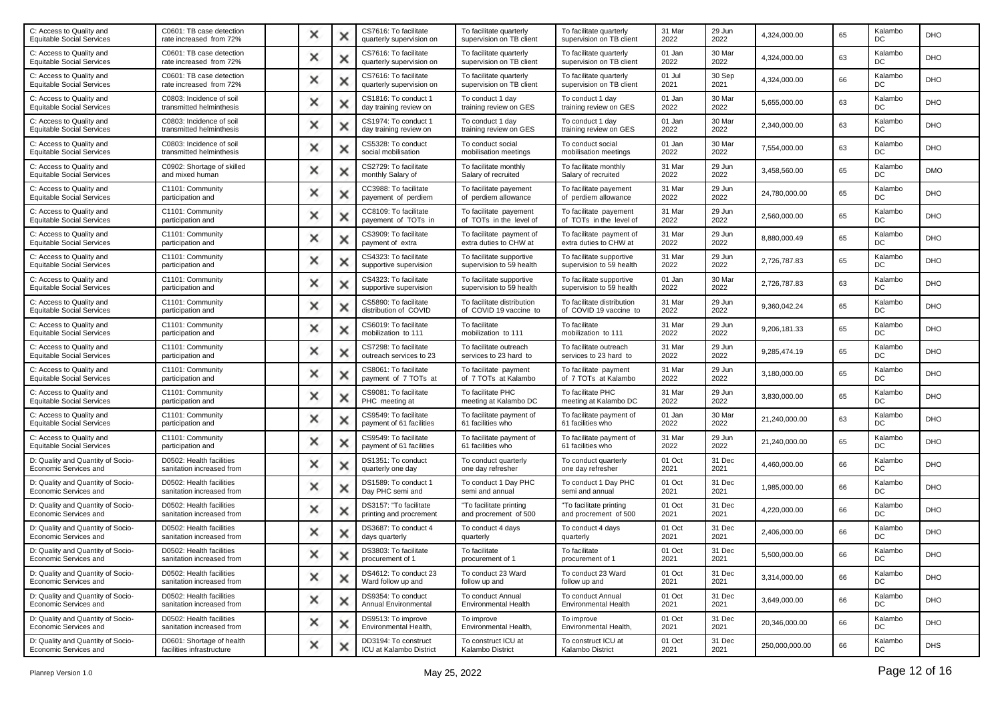| C: Access to Quality and<br><b>Equitable Social Services</b> | C0601: TB case detection<br>rate increased from 72%    | × |   | CS7616: To facilitate<br>quarterly supervision on | To facilitate quarterly<br>supervision on TB client  | To facilitate quarterly<br>supervision on TB client  | 31 Mar<br>2022 | 29 Jun<br>2022 | 4,324,000.00   | 65 | Kalambo<br>DC | DHO        |
|--------------------------------------------------------------|--------------------------------------------------------|---|---|---------------------------------------------------|------------------------------------------------------|------------------------------------------------------|----------------|----------------|----------------|----|---------------|------------|
| C: Access to Quality and<br><b>Equitable Social Services</b> | C0601: TB case detection<br>rate increased from 72%    | × | х | CS7616: To facilitate<br>quarterly supervision on | To facilitate quarterly<br>supervision on TB client  | To facilitate quarterly<br>supervision on TB client  | 01 Jan<br>2022 | 30 Mar<br>2022 | 4,324,000.00   | 63 | Kalambo<br>DC | <b>DHO</b> |
| C: Access to Quality and<br><b>Equitable Social Services</b> | C0601: TB case detection<br>rate increased from 72%    | × | × | CS7616: To facilitate<br>quarterly supervision on | To facilitate quarterly<br>supervision on TB client  | To facilitate quarterly<br>supervision on TB client  | 01 Jul<br>2021 | 30 Sep<br>2021 | 4,324,000.00   | 66 | Kalambo<br>DC | <b>DHO</b> |
| C: Access to Quality and<br><b>Equitable Social Services</b> | C0803: Incidence of soil<br>transmitted helminthesis   | × |   | CS1816: To conduct 1<br>day training review on    | To conduct 1 day<br>training review on GES           | To conduct 1 day<br>training review on GES           | 01 Jan<br>2022 | 30 Mar<br>2022 | 5,655,000.00   | 63 | Kalambo<br>DC | DHO        |
| C: Access to Quality and<br><b>Equitable Social Services</b> | C0803: Incidence of soil<br>transmitted helminthesis   | × | Ж | CS1974: To conduct 1<br>day training review on    | To conduct 1 day<br>training review on GES           | To conduct 1 day<br>training review on GES           | 01 Jan<br>2022 | 30 Mar<br>2022 | 2,340,000.00   | 63 | Kalambo<br>DC | <b>DHO</b> |
| C: Access to Quality and<br><b>Equitable Social Services</b> | C0803: Incidence of soil<br>transmitted helminthesis   | × | x | CS5328: To conduct<br>social mobilisation         | To conduct social<br>mobilisation meetings           | To conduct social<br>mobilisation meetings           | 01 Jan<br>2022 | 30 Mar<br>2022 | 7,554,000.00   | 63 | Kalambo<br>DC | <b>DHO</b> |
| C: Access to Quality and<br><b>Equitable Social Services</b> | C0902: Shortage of skilled<br>and mixed human          | × | x | CS2729: To facilitate<br>monthly Salary of        | To facilitate monthly<br>Salary of recruited         | To facilitate monthly<br>Salary of recruited         | 31 Mar<br>2022 | 29 Jun<br>2022 | 3,458,560.00   | 65 | Kalambo<br>DC | <b>DMO</b> |
| C: Access to Quality and<br><b>Equitable Social Services</b> | C1101: Community<br>participation and                  | × | х | CC3988: To facilitate<br>payement of perdiem      | To facilitate payement<br>of perdiem allowance       | To facilitate payement<br>of perdiem allowance       | 31 Mar<br>2022 | 29 Jun<br>2022 | 24,780,000.00  | 65 | Kalambo<br>DC | <b>DHO</b> |
| C: Access to Quality and<br><b>Equitable Social Services</b> | C1101: Community<br>participation and                  | × | × | CC8109: To facilitate<br>payement of TOTs in      | To facilitate payement<br>of TOTs in the level of    | To facilitate payement<br>of TOTs in the level of    | 31 Mar<br>2022 | 29 Jun<br>2022 | 2,560,000.00   | 65 | Kalambo<br>DC | <b>DHO</b> |
| C: Access to Quality and<br><b>Equitable Social Services</b> | C1101: Community<br>participation and                  | × |   | CS3909: To facilitate<br>payment of extra         | To facilitate payment of<br>extra duties to CHW at   | To facilitate payment of<br>extra duties to CHW at   | 31 Mar<br>2022 | 29 Jun<br>2022 | 8,880,000.49   | 65 | Kalambo<br>DC | <b>DHO</b> |
| C: Access to Quality and<br><b>Equitable Social Services</b> | C1101: Community<br>participation and                  | × | х | CS4323: To facilitate<br>supportive supervision   | To facilitate supportive<br>supervision to 59 health | To facilitate supportive<br>supervision to 59 health | 31 Mar<br>2022 | 29 Jun<br>2022 | 2,726,787.83   | 65 | Kalambo<br>DC | <b>DHO</b> |
| C: Access to Quality and<br><b>Equitable Social Services</b> | C1101: Community<br>participation and                  | × | × | CS4323: To facilitate<br>supportive supervision   | To facilitate supportive<br>supervision to 59 health | To facilitate supportive<br>supervision to 59 health | 01 Jan<br>2022 | 30 Mar<br>2022 | 2,726,787.83   | 63 | Kalambo<br>DC | <b>DHO</b> |
| C: Access to Quality and<br><b>Equitable Social Services</b> | C1101: Community<br>participation and                  | × |   | CS5890: To facilitate<br>distribution of COVID    | To facilitate distribution<br>of COVID 19 vaccine to | To facilitate distribution<br>of COVID 19 vaccine to | 31 Mar<br>2022 | 29 Jun<br>2022 | 9,360,042.24   | 65 | Kalambo<br>DC | DHO        |
| C: Access to Quality and<br><b>Equitable Social Services</b> | C1101: Community<br>participation and                  | × | ж | CS6019: To facilitate<br>mobilization to 111      | To facilitate<br>mobilization to 111                 | To facilitate<br>mobilization to 111                 | 31 Mar<br>2022 | 29 Jun<br>2022 | 9,206,181.33   | 65 | Kalambo<br>DC | <b>DHO</b> |
| C: Access to Quality and<br><b>Equitable Social Services</b> | C1101: Community<br>participation and                  | × | × | CS7298: To facilitate<br>outreach services to 23  | To facilitate outreach<br>services to 23 hard to     | To facilitate outreach<br>services to 23 hard to     | 31 Mar<br>2022 | 29 Jun<br>2022 | 9,285,474.19   | 65 | Kalambo<br>DC | <b>DHO</b> |
| C: Access to Quality and<br><b>Equitable Social Services</b> | C1101: Community<br>participation and                  | × |   | CS8061: To facilitate<br>payment of 7 TOTs at     | To facilitate payment<br>of 7 TOTs at Kalambo        | To facilitate payment<br>of 7 TOTs at Kalambo        | 31 Mar<br>2022 | 29 Jun<br>2022 | 3,180,000.00   | 65 | Kalambo<br>DC | DHO        |
| C: Access to Quality and<br><b>Equitable Social Services</b> | C1101: Community<br>participation and                  | × | х | CS9081: To facilitate<br>PHC meeting at           | To facilitate PHC<br>meeting at Kalambo DC           | To facilitate PHC<br>meeting at Kalambo DC           | 31 Mar<br>2022 | 29 Jun<br>2022 | 3,830,000.00   | 65 | Kalambo<br>DC | DHO        |
| C: Access to Quality and<br><b>Equitable Social Services</b> | C1101: Community<br>participation and                  | × | x | CS9549: To facilitate<br>payment of 61 facilities | To facilitate payment of<br>61 facilities who        | To facilitate payment of<br>61 facilities who        | 01 Jan<br>2022 | 30 Mar<br>2022 | 21,240,000.00  | 63 | Kalambo<br>DC | <b>DHO</b> |
| C: Access to Quality and<br><b>Equitable Social Services</b> | C1101: Community<br>participation and                  | × | x | CS9549: To facilitate<br>payment of 61 facilities | To facilitate payment of<br>61 facilities who        | To facilitate payment of<br>61 facilities who        | 31 Mar<br>2022 | 29 Jun<br>2022 | 21,240,000.00  | 65 | Kalambo<br>DC | DHO        |
| D: Quality and Quantity of Socio-<br>Economic Services and   | D0502: Health facilities<br>sanitation increased from  | × | х | DS1351: To conduct<br>quarterly one day           | To conduct quarterly<br>one day refresher            | To conduct quarterly<br>one day refresher            | 01 Oct<br>2021 | 31 Dec<br>2021 | 4,460,000.00   | 66 | Kalambo<br>DC | <b>DHO</b> |
| D: Quality and Quantity of Socio-<br>Economic Services and   | D0502: Health facilities<br>sanitation increased from  | × | × | DS1589: To conduct 1<br>Day PHC semi and          | To conduct 1 Day PHC<br>semi and annual              | To conduct 1 Day PHC<br>semi and annual              | 01 Oct<br>2021 | 31 Dec<br>2021 | 1,985,000.00   | 66 | Kalambo<br>DC | <b>DHO</b> |
| D: Quality and Quantity of Socio-<br>Economic Services and   | D0502: Health facilities<br>sanitation increased from  | × |   | DS3157: "To facilitate<br>printing and procrement | "To facilitate printing<br>and procrement of 500     | "To facilitate printing<br>and procrement of 500     | 01 Oct<br>2021 | 31 Dec<br>2021 | 4,220,000.00   | 66 | Kalambo<br>DC | <b>DHO</b> |
| D: Quality and Quantity of Socio-<br>Economic Services and   | D0502: Health facilities<br>sanitation increased from  | × |   | DS3687: To conduct 4<br>days quarterly            | To conduct 4 days<br>quarterly                       | To conduct 4 days<br>quarterly                       | 01 Oct<br>2021 | 31 Dec<br>2021 | 2,406,000.00   | 66 | Kalambo<br>DC | <b>DHO</b> |
| D: Quality and Quantity of Socio-<br>Economic Services and   | D0502: Health facilities<br>sanitation increased from  |   |   | DS3803: To facilitate<br>procurement of 1         | To facilitate<br>procurement of 1                    | To facilitate<br>procurement of 1                    | 01 Oct<br>2021 | 31 Dec<br>2021 | 5,500,000.00   | 66 | Kalambo<br>DC | DHO        |
| D: Quality and Quantity of Socio-<br>Economic Services and   | D0502: Health facilities<br>sanitation increased from  | × | × | DS4612: To conduct 23<br>Ward follow up and       | To conduct 23 Ward<br>follow up and                  | To conduct 23 Ward<br>follow up and                  | 01 Oct<br>2021 | 31 Dec<br>2021 | 3.314.000.00   | 66 | Kalambo<br>DC | <b>DHO</b> |
| D: Quality and Quantity of Socio-<br>Economic Services and   | D0502: Health facilities<br>sanitation increased from  | × | × | DS9354: To conduct<br>Annual Environmental        | To conduct Annual<br>Environmental Health            | To conduct Annual<br><b>Environmental Health</b>     | 01 Oct<br>2021 | 31 Dec<br>2021 | 3,649,000.00   | 66 | Kalambo<br>DC | <b>DHO</b> |
| D: Quality and Quantity of Socio-<br>Economic Services and   | D0502: Health facilities<br>sanitation increased from  | × | × | DS9513: To improve<br>Environmental Health,       | To improve<br>Environmental Health,                  | To improve<br>Environmental Health,                  | 01 Oct<br>2021 | 31 Dec<br>2021 | 20,346,000.00  | 66 | Kalambo<br>DC | <b>DHO</b> |
| D: Quality and Quantity of Socio-<br>Economic Services and   | D0601: Shortage of health<br>facilities infrastructure | × | × | DD3194: To construct<br>ICU at Kalambo District   | To construct ICU at<br>Kalambo District              | To construct ICU at<br>Kalambo District              | 01 Oct<br>2021 | 31 Dec<br>2021 | 250,000,000.00 | 66 | Kalambo<br>DC | <b>DHS</b> |
|                                                              |                                                        |   |   |                                                   |                                                      |                                                      |                |                |                |    |               |            |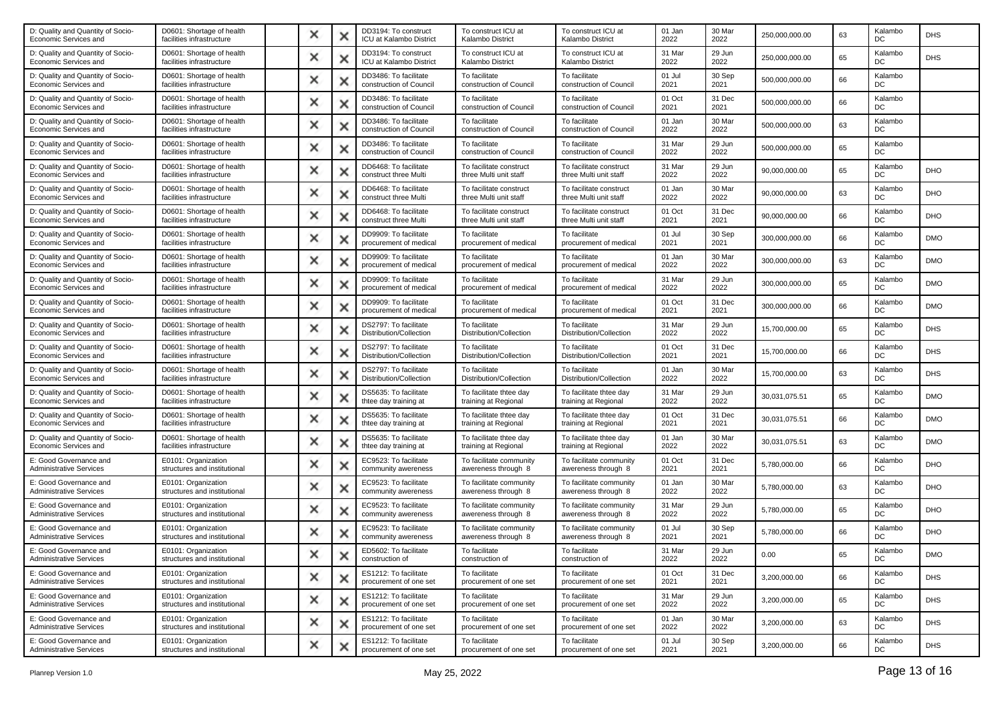| D: Quality and Quantity of Socio-<br>Economic Services and | D0601: Shortage of health<br>facilities infrastructure | × |   | DD3194: To construct<br>ICU at Kalambo District  | To construct ICU at<br>Kalambo District           | To construct ICU at<br>Kalambo District           | 01 Jan<br>2022 | 30 Mar<br>2022 | 250,000,000.00 | 63 | Kalambo<br>DC | <b>DHS</b> |
|------------------------------------------------------------|--------------------------------------------------------|---|---|--------------------------------------------------|---------------------------------------------------|---------------------------------------------------|----------------|----------------|----------------|----|---------------|------------|
| D: Quality and Quantity of Socio-<br>Economic Services and | D0601: Shortage of health<br>facilities infrastructure | × | х | DD3194: To construct<br>ICU at Kalambo District  | To construct ICU at<br>Kalambo District           | To construct ICU at<br>Kalambo District           | 31 Mar<br>2022 | 29 Jun<br>2022 | 250,000,000.00 | 65 | Kalambo<br>DC | <b>DHS</b> |
| D: Quality and Quantity of Socio-<br>Economic Services and | D0601: Shortage of health<br>facilities infrastructure | × | × | DD3486: To facilitate<br>construction of Council | To facilitate<br>construction of Council          | To facilitate<br>construction of Council          | 01 Jul<br>2021 | 30 Sep<br>2021 | 500,000,000.00 | 66 | Kalambo<br>DC |            |
| D: Quality and Quantity of Socio-<br>Economic Services and | D0601: Shortage of health<br>facilities infrastructure | × |   | DD3486: To facilitate<br>construction of Council | To facilitate<br>construction of Council          | To facilitate<br>construction of Council          | 01 Oct<br>2021 | 31 Dec<br>2021 | 500,000,000.00 | 66 | Kalambo<br>DC |            |
| D: Quality and Quantity of Socio-<br>Economic Services and | D0601: Shortage of health<br>facilities infrastructure | × | х | DD3486: To facilitate<br>construction of Council | To facilitate<br>construction of Council          | To facilitate<br>construction of Council          | 01 Jan<br>2022 | 30 Mar<br>2022 | 500,000,000.00 | 63 | Kalambo<br>DC |            |
| D: Quality and Quantity of Socio-<br>Economic Services and | D0601: Shortage of health<br>facilities infrastructure | × | x | DD3486: To facilitate<br>construction of Council | To facilitate<br>construction of Council          | To facilitate<br>construction of Council          | 31 Mar<br>2022 | 29 Jun<br>2022 | 500.000.000.00 | 65 | Kalambo<br>DC |            |
| D: Quality and Quantity of Socio-<br>Economic Services and | D0601: Shortage of health<br>facilities infrastructure | × |   | DD6468: To facilitate<br>construct three Multi   | To facilitate construct<br>three Multi unit staff | To facilitate construct<br>three Multi unit staff | 31 Mar<br>2022 | 29 Jun<br>2022 | 90,000,000.00  | 65 | Kalambo<br>DC | DHO        |
| D: Quality and Quantity of Socio-<br>Economic Services and | D0601: Shortage of health<br>facilities infrastructure | × |   | DD6468: To facilitate<br>construct three Multi   | To facilitate construct<br>three Multi unit staff | To facilitate construct<br>three Multi unit staff | 01 Jan<br>2022 | 30 Mar<br>2022 | 90,000,000.00  | 63 | Kalambo<br>DC | DHO        |
| D: Quality and Quantity of Socio-<br>Economic Services and | D0601: Shortage of health<br>facilities infrastructure | × | x | DD6468: To facilitate<br>construct three Multi   | To facilitate construct<br>three Multi unit staff | To facilitate construct<br>three Multi unit staff | 01 Oct<br>2021 | 31 Dec<br>2021 | 90,000,000.00  | 66 | Kalambo<br>DC | <b>DHO</b> |
| D: Quality and Quantity of Socio-<br>Economic Services and | D0601: Shortage of health<br>facilities infrastructure | × |   | DD9909: To facilitate<br>procurement of medical  | To facilitate<br>procurement of medical           | To facilitate<br>procurement of medical           | 01 Jul<br>2021 | 30 Sep<br>2021 | 300,000,000.00 | 66 | Kalambo<br>DC | <b>DMO</b> |
| D: Quality and Quantity of Socio-<br>Economic Services and | D0601: Shortage of health<br>facilities infrastructure | × | × | DD9909: To facilitate<br>procurement of medical  | To facilitate<br>procurement of medical           | To facilitate<br>procurement of medical           | 01 Jan<br>2022 | 30 Mar<br>2022 | 300,000,000.00 | 63 | Kalambo<br>DC | <b>DMO</b> |
| D: Quality and Quantity of Socio-<br>Economic Services and | D0601: Shortage of health<br>facilities infrastructure | × | x | DD9909: To facilitate<br>procurement of medical  | To facilitate<br>procurement of medical           | To facilitate<br>procurement of medical           | 31 Mar<br>2022 | 29 Jun<br>2022 | 300,000,000.00 | 65 | Kalambo<br>DC | <b>DMO</b> |
| D: Quality and Quantity of Socio-<br>Economic Services and | D0601: Shortage of health<br>facilities infrastructure | × |   | DD9909: To facilitate<br>procurement of medical  | To facilitate<br>procurement of medical           | To facilitate<br>procurement of medical           | 01 Oct<br>2021 | 31 Dec<br>2021 | 300,000,000.00 | 66 | Kalambo<br>DC | <b>DMO</b> |
| D: Quality and Quantity of Socio-<br>Economic Services and | D0601: Shortage of health<br>facilities infrastructure | × | ж | DS2797: To facilitate<br>Distribution/Collection | To facilitate<br>Distribution/Collection          | To facilitate<br>Distribution/Collection          | 31 Mar<br>2022 | 29 Jun<br>2022 | 15,700,000.00  | 65 | Kalambo<br>DC | <b>DHS</b> |
| D: Quality and Quantity of Socio-<br>Economic Services and | D0601: Shortage of health<br>facilities infrastructure | × |   | DS2797: To facilitate<br>Distribution/Collection | To facilitate<br>Distribution/Collection          | To facilitate<br>Distribution/Collection          | 01 Oct<br>2021 | 31 Dec<br>2021 | 15,700,000.00  | 66 | Kalambo<br>DC | <b>DHS</b> |
| D: Quality and Quantity of Socio-<br>Economic Services and | D0601: Shortage of health<br>facilities infrastructure | × |   | DS2797: To facilitate<br>Distribution/Collection | To facilitate<br>Distribution/Collection          | To facilitate<br>Distribution/Collection          | 01 Jan<br>2022 | 30 Mar<br>2022 | 15,700,000.00  | 63 | Kalambo<br>DC | <b>DHS</b> |
| D: Quality and Quantity of Socio-<br>Economic Services and | D0601: Shortage of health<br>facilities infrastructure | × | × | DS5635: To facilitate<br>thtee day training at   | To facilitate thtee day<br>training at Regional   | To facilitate thtee day<br>training at Regional   | 31 Mar<br>2022 | 29 Jun<br>2022 | 30,031,075.51  | 65 | Kalambo<br>DC | <b>DMO</b> |
| D: Quality and Quantity of Socio-<br>Economic Services and | D0601: Shortage of health<br>facilities infrastructure | × | × | DS5635: To facilitate<br>thtee day training at   | To facilitate thtee day<br>training at Regional   | To facilitate thtee day<br>training at Regional   | 01 Oct<br>2021 | 31 Dec<br>2021 | 30,031,075.51  | 66 | Kalambo<br>DC | <b>DMO</b> |
| D: Quality and Quantity of Socio-<br>Economic Services and | D0601: Shortage of health<br>facilities infrastructure | × |   | DS5635: To facilitate<br>thtee day training at   | To facilitate thtee day<br>training at Regional   | To facilitate thtee day<br>training at Regional   | 01 Jan<br>2022 | 30 Mar<br>2022 | 30,031,075.51  | 63 | Kalambo<br>DC | <b>DMO</b> |
| E: Good Governance and<br><b>Administrative Services</b>   | E0101: Organization<br>structures and institutional    | × | х | EC9523: To facilitate<br>community awereness     | To facilitate community<br>awereness through 8    | To facilitate community<br>awereness through 8    | 01 Oct<br>2021 | 31 Dec<br>2021 | 5,780,000.00   | 66 | Kalambo<br>DC | DHO        |
| E: Good Governance and<br><b>Administrative Services</b>   | E0101: Organization<br>structures and institutional    | × | x | EC9523: To facilitate<br>community awereness     | To facilitate community<br>awereness through 8    | To facilitate community<br>awereness through 8    | 01 Jan<br>2022 | 30 Mar<br>2022 | 5,780,000.00   | 63 | Kalambo<br>DC | <b>DHO</b> |
| E: Good Governance and<br><b>Administrative Services</b>   | E0101: Organization<br>structures and institutional    | × |   | EC9523: To facilitate<br>community awereness     | To facilitate community<br>awereness through 8    | To facilitate community<br>awereness through 8    | 31 Mar<br>2022 | 29 Jun<br>2022 | 5,780,000.00   | 65 | Kalambo<br>DC | DHO        |
| E: Good Governance and<br><b>Administrative Services</b>   | E0101: Organization<br>structures and institutional    | × |   | EC9523: To facilitate<br>community awereness     | To facilitate community<br>awereness through 8    | To facilitate community<br>awereness through 8    | 01 Jul<br>2021 | 30 Sep<br>2021 | 5,780,000.00   | 66 | Kalambo<br>DC | DHO        |
| E: Good Governance and<br>Administrative Services          | E0101: Organization<br>structures and institutional    |   |   | ED5602: To facilitate<br>construction of         | To facilitate<br>construction of                  | To facilitate<br>construction of                  | 31 Mar<br>2022 | 29 Jun<br>2022 | 0.00           | 65 | Kalambo<br>DC | <b>DMO</b> |
| E: Good Governance and<br><b>Administrative Services</b>   | E0101: Organization<br>structures and institutional    | × | × | ES1212: To facilitate<br>procurement of one set  | To facilitate<br>procurement of one set           | To facilitate<br>procurement of one set           | 01 Oct<br>2021 | 31 Dec<br>2021 | 3,200,000.00   | 66 | Kalambo<br>DC | <b>DHS</b> |
| E: Good Governance and<br><b>Administrative Services</b>   | E0101: Organization<br>structures and institutional    | × | x | ES1212: To facilitate<br>procurement of one set  | To facilitate<br>procurement of one set           | To facilitate<br>procurement of one set           | 31 Mar<br>2022 | 29 Jun<br>2022 | 3,200,000.00   | 65 | Kalambo<br>DC | <b>DHS</b> |
| E: Good Governance and<br><b>Administrative Services</b>   | E0101: Organization<br>structures and institutional    | × | × | ES1212: To facilitate<br>procurement of one set  | To facilitate<br>procurement of one set           | To facilitate<br>procurement of one set           | 01 Jan<br>2022 | 30 Mar<br>2022 | 3,200,000.00   | 63 | Kalambo<br>DC | <b>DHS</b> |
| E: Good Governance and<br><b>Administrative Services</b>   | E0101: Organization<br>structures and institutional    | × |   | ES1212: To facilitate<br>procurement of one set  | To facilitate<br>procurement of one set           | To facilitate<br>procurement of one set           | 01 Jul<br>2021 | 30 Sep<br>2021 | 3,200,000.00   | 66 | Kalambo<br>DC | <b>DHS</b> |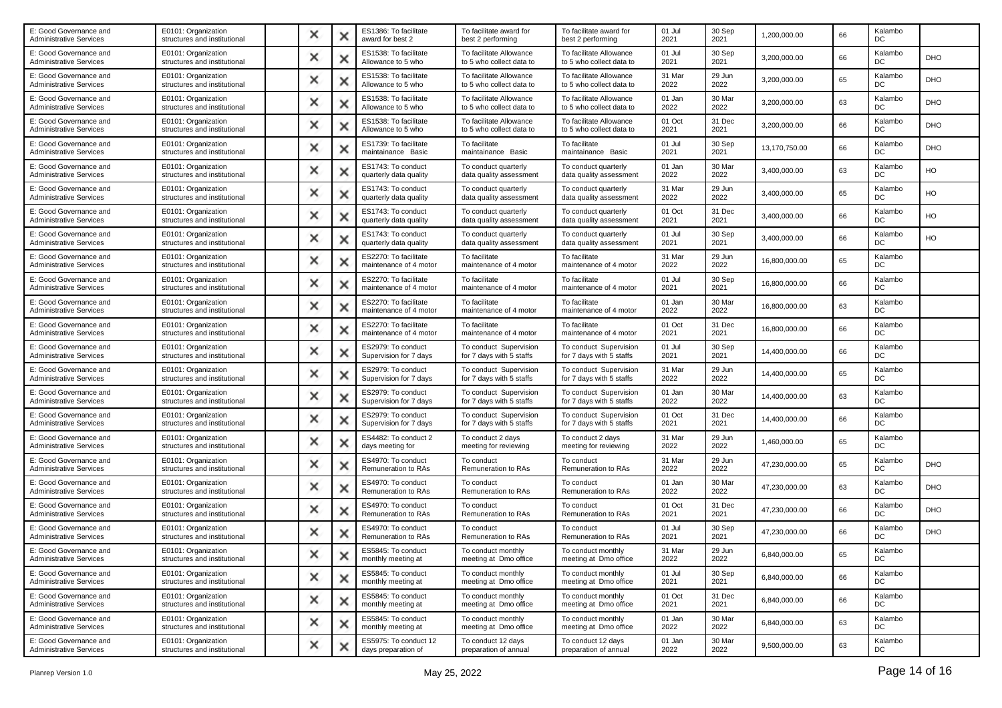| E: Good Governance and<br><b>Administrative Services</b> | E0101: Organization<br>structures and institutional | × |   | ES1386: To facilitate<br>award for best 2       | To facilitate award for<br>best 2 performing        | To facilitate award for<br>best 2 performing        | 01 Jul<br>2021 | 30 Sep<br>2021 | 1,200,000.00  | 66 | Kalambo<br>DC |            |
|----------------------------------------------------------|-----------------------------------------------------|---|---|-------------------------------------------------|-----------------------------------------------------|-----------------------------------------------------|----------------|----------------|---------------|----|---------------|------------|
| E: Good Governance and<br>Administrative Services        | E0101: Organization<br>structures and institutional | × |   | ES1538: To facilitate<br>Allowance to 5 who     | To facilitate Allowance<br>to 5 who collect data to | To facilitate Allowance<br>to 5 who collect data to | 01 Jul<br>2021 | 30 Sep<br>2021 | 3,200,000.00  | 66 | Kalambo<br>DC | DHO        |
| E: Good Governance and<br><b>Administrative Services</b> | E0101: Organization<br>structures and institutional | × |   | ES1538: To facilitate<br>Allowance to 5 who     | To facilitate Allowance<br>to 5 who collect data to | To facilitate Allowance<br>to 5 who collect data to | 31 Mar<br>2022 | 29 Jun<br>2022 | 3,200,000.00  | 65 | Kalambo<br>DC | DHO        |
| E: Good Governance and<br><b>Administrative Services</b> | E0101: Organization<br>structures and institutional | × |   | ES1538: To facilitate<br>Allowance to 5 who     | To facilitate Allowance<br>to 5 who collect data to | To facilitate Allowance<br>to 5 who collect data to | 01 Jan<br>2022 | 30 Mar<br>2022 | 3,200,000.00  | 63 | Kalambo<br>DC | <b>DHO</b> |
| E: Good Governance and<br>Administrative Services        | E0101: Organization<br>structures and institutional | × |   | ES1538: To facilitate<br>Allowance to 5 who     | To facilitate Allowance<br>to 5 who collect data to | To facilitate Allowance<br>to 5 who collect data to | 01 Oct<br>2021 | 31 Dec<br>2021 | 3,200,000.00  | 66 | Kalambo<br>DC | <b>DHO</b> |
| E: Good Governance and<br><b>Administrative Services</b> | E0101: Organization<br>structures and institutional | × |   | ES1739: To facilitate<br>maintainance Basic     | To facilitate<br>maintainance Basic                 | To facilitate<br>maintainance Basic                 | 01 Jul<br>2021 | 30 Sep<br>2021 | 13,170,750.00 | 66 | Kalambo<br>DC | <b>DHO</b> |
| E: Good Governance and<br>Administrative Services        | E0101: Organization<br>structures and institutional | × |   | ES1743: To conduct<br>quarterly data quality    | To conduct quarterly<br>data quality assessment     | To conduct quarterly<br>data quality assessment     | 01 Jan<br>2022 | 30 Mar<br>2022 | 3,400,000.00  | 63 | Kalambo<br>DC | HO         |
| E: Good Governance and<br><b>Administrative Services</b> | E0101: Organization<br>structures and institutional | × |   | ES1743: To conduct<br>quarterly data quality    | To conduct quarterly<br>data quality assessment     | To conduct quarterly<br>data quality assessment     | 31 Mar<br>2022 | 29 Jun<br>2022 | 3,400,000.00  | 65 | Kalambo<br>DC | HO         |
| E: Good Governance and<br><b>Administrative Services</b> | E0101: Organization<br>structures and institutional | × |   | ES1743: To conduct<br>quarterly data quality    | To conduct quarterly<br>data quality assessment     | To conduct quarterly<br>data quality assessment     | 01 Oct<br>2021 | 31 Dec<br>2021 | 3,400,000.00  | 66 | Kalambo<br>DC | HO         |
| E: Good Governance and<br><b>Administrative Services</b> | E0101: Organization<br>structures and institutional | × |   | ES1743: To conduct<br>quarterly data quality    | To conduct quarterly<br>data quality assessment     | To conduct quarterly<br>data quality assessment     | 01 Jul<br>2021 | 30 Sep<br>2021 | 3,400,000.00  | 66 | Kalambo<br>DC | HO         |
| E: Good Governance and<br><b>Administrative Services</b> | E0101: Organization<br>structures and institutional | × |   | ES2270: To facilitate<br>maintenance of 4 motor | To facilitate<br>maintenance of 4 motor             | To facilitate<br>maintenance of 4 motor             | 31 Mar<br>2022 | 29 Jun<br>2022 | 16,800,000.00 | 65 | Kalambo<br>DC |            |
| E: Good Governance and<br>Administrative Services        | E0101: Organization<br>structures and institutional | × |   | ES2270: To facilitate<br>maintenance of 4 motor | To facilitate<br>maintenance of 4 motor             | To facilitate<br>maintenance of 4 motor             | 01 Jul<br>2021 | 30 Sep<br>2021 | 16,800,000.00 | 66 | Kalambo<br>DC |            |
| E: Good Governance and<br><b>Administrative Services</b> | E0101: Organization<br>structures and institutional | × |   | ES2270: To facilitate<br>maintenance of 4 motor | To facilitate<br>maintenance of 4 motor             | To facilitate<br>maintenance of 4 motor             | 01 Jan<br>2022 | 30 Mar<br>2022 | 16,800,000.00 | 63 | Kalambo<br>DC |            |
| E: Good Governance and<br>Administrative Services        | E0101: Organization<br>structures and institutional | × |   | ES2270: To facilitate<br>maintenance of 4 motor | To facilitate<br>maintenance of 4 motor             | To facilitate<br>maintenance of 4 motor             | 01 Oct<br>2021 | 31 Dec<br>2021 | 16,800,000.00 | 66 | Kalambo<br>DC |            |
| E: Good Governance and<br><b>Administrative Services</b> | E0101: Organization<br>structures and institutional | × |   | ES2979: To conduct<br>Supervision for 7 days    | To conduct Supervision<br>for 7 days with 5 staffs  | To conduct Supervision<br>for 7 days with 5 staffs  | 01 Jul<br>2021 | 30 Sep<br>2021 | 14,400,000.00 | 66 | Kalambo<br>DC |            |
| E: Good Governance and<br><b>Administrative Services</b> | E0101: Organization<br>structures and institutional | × |   | ES2979: To conduct<br>Supervision for 7 days    | To conduct Supervision<br>for 7 days with 5 staffs  | To conduct Supervision<br>for 7 days with 5 staffs  | 31 Mar<br>2022 | 29 Jun<br>2022 | 14,400,000.00 | 65 | Kalambo<br>DC |            |
| E: Good Governance and<br>Administrative Services        | E0101: Organization<br>structures and institutional | × |   | ES2979: To conduct<br>Supervision for 7 days    | To conduct Supervision<br>for 7 days with 5 staffs  | To conduct Supervision<br>for 7 days with 5 staffs  | 01 Jan<br>2022 | 30 Mar<br>2022 | 14,400,000.00 | 63 | Kalambo<br>DC |            |
| E: Good Governance and<br><b>Administrative Services</b> | E0101: Organization<br>structures and institutional | × |   | ES2979: To conduct<br>Supervision for 7 days    | To conduct Supervision<br>for 7 days with 5 staffs  | To conduct Supervision<br>for 7 days with 5 staffs  | 01 Oct<br>2021 | 31 Dec<br>2021 | 14,400,000.00 | 66 | Kalambo<br>DC |            |
| E: Good Governance and<br>Administrative Services        | E0101: Organization<br>structures and institutional | × |   | ES4482: To conduct 2<br>days meeting for        | To conduct 2 days<br>meeting for reviewing          | To conduct 2 days<br>meeting for reviewing          | 31 Mar<br>2022 | 29 Jun<br>2022 | 1,460,000.00  | 65 | Kalambo<br>DC |            |
| E: Good Governance and<br><b>Administrative Services</b> | E0101: Organization<br>structures and institutional | × |   | ES4970: To conduct<br>Remuneration to RAs       | To conduct<br>Remuneration to RAs                   | To conduct<br>Remuneration to RAs                   | 31 Mar<br>2022 | 29 Jun<br>2022 | 47,230,000.00 | 65 | Kalambo<br>DC | DHO        |
| E: Good Governance and<br><b>Administrative Services</b> | E0101: Organization<br>structures and institutional | × |   | ES4970: To conduct<br>Remuneration to RAs       | To conduct<br>Remuneration to RAs                   | To conduct<br>Remuneration to RAs                   | 01 Jan<br>2022 | 30 Mar<br>2022 | 47,230,000.00 | 63 | Kalambo<br>DC | <b>DHO</b> |
| E: Good Governance and<br><b>Administrative Services</b> | E0101: Organization<br>structures and institutional | × |   | ES4970: To conduct<br>Remuneration to RAs       | To conduct<br>Remuneration to RAs                   | To conduct<br>Remuneration to RAs                   | 01 Oct<br>2021 | 31 Dec<br>2021 | 47,230,000.00 | 66 | Kalambo<br>DC | <b>DHO</b> |
| E: Good Governance and<br><b>Administrative Services</b> | E0101: Organization<br>structures and institutional | × |   | ES4970: To conduct<br>Remuneration to RAs       | To conduct<br>Remuneration to RAs                   | To conduct<br>Remuneration to RAs                   | 01 Jul<br>2021 | 30 Sep<br>2021 | 47,230,000.00 | 66 | Kalambo<br>DC | DHO        |
| E: Good Governance and<br><b>Administrative Services</b> | E0101: Organization<br>structures and institutional |   |   | ES5845: To conduct<br>monthly meeting at        | To conduct monthly<br>meeting at Dmo office         | To conduct monthly<br>meeting at Dmo office         | 31 Mar<br>2022 | 29 Jun<br>2022 | 6,840,000.00  | 65 | Kalambo<br>DC |            |
| E: Good Governance and<br><b>Administrative Services</b> | E0101: Organization<br>structures and institutional | × | × | ES5845: To conduct<br>monthly meeting at        | To conduct monthly<br>meeting at Dmo office         | To conduct monthly<br>meeting at Dmo office         | 01 Jul<br>2021 | 30 Sep<br>2021 | 6,840,000.00  | 66 | Kalambo<br>DC |            |
| E: Good Governance and<br><b>Administrative Services</b> | E0101: Organization<br>structures and institutional | × | × | ES5845: To conduct<br>monthly meeting at        | To conduct monthly<br>meeting at Dmo office         | To conduct monthly<br>meeting at Dmo office         | 01 Oct<br>2021 | 31 Dec<br>2021 | 6,840,000.00  | 66 | Kalambo<br>DC |            |
| E: Good Governance and<br><b>Administrative Services</b> | E0101: Organization<br>structures and institutional | × | × | ES5845: To conduct<br>monthly meeting at        | To conduct monthly<br>meeting at Dmo office         | To conduct monthly<br>meeting at Dmo office         | 01 Jan<br>2022 | 30 Mar<br>2022 | 6,840,000.00  | 63 | Kalambo<br>DC |            |
| E: Good Governance and<br><b>Administrative Services</b> | E0101: Organization<br>structures and institutional | × |   | ES5975: To conduct 12<br>days preparation of    | To conduct 12 days<br>preparation of annual         | To conduct 12 days<br>preparation of annual         | 01 Jan<br>2022 | 30 Mar<br>2022 | 9,500,000.00  | 63 | Kalambo<br>DC |            |
|                                                          |                                                     |   |   |                                                 |                                                     |                                                     |                |                |               |    |               |            |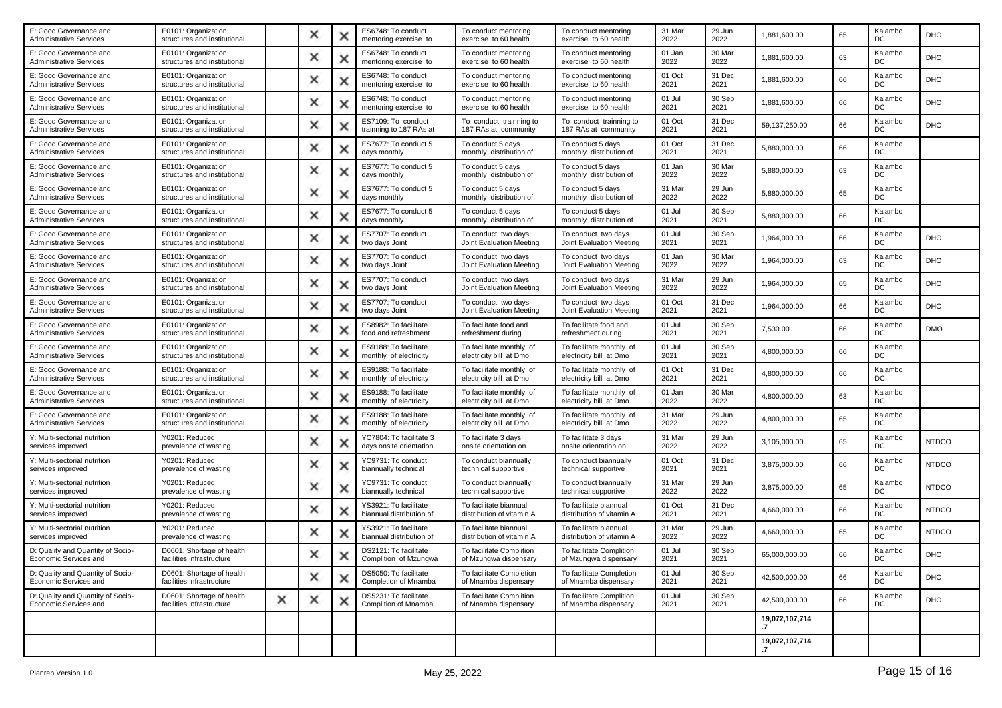| E: Good Governance and<br><b>Administrative Services</b>   | E0101: Organization<br>structures and institutional    |   | × | × | ES6748: To conduct<br>mentoring exercise to        | To conduct mentoring<br>exercise to 60 health       | To conduct mentoring<br>exercise to 60 health       | 31 Mar<br>2022 | 29 Jun<br>2022 | 1,881,600.00                     | 65 | Kalambo<br>DC | <b>DHO</b>   |
|------------------------------------------------------------|--------------------------------------------------------|---|---|---|----------------------------------------------------|-----------------------------------------------------|-----------------------------------------------------|----------------|----------------|----------------------------------|----|---------------|--------------|
| E: Good Governance and<br><b>Administrative Services</b>   | E0101: Organization<br>structures and institutional    |   | × | х | ES6748: To conduct<br>mentoring exercise to        | To conduct mentoring<br>exercise to 60 health       | To conduct mentoring<br>exercise to 60 health       | 01 Jan<br>2022 | 30 Mar<br>2022 | 1,881,600.00                     | 63 | Kalambo<br>DC | DHO          |
| E: Good Governance and<br><b>Administrative Services</b>   | E0101: Organization<br>structures and institutional    |   | × | × | ES6748: To conduct<br>mentoring exercise to        | To conduct mentoring<br>exercise to 60 health       | To conduct mentoring<br>exercise to 60 health       | 01 Oct<br>2021 | 31 Dec<br>2021 | 1,881,600.00                     | 66 | Kalambo<br>DC | <b>DHO</b>   |
| E: Good Governance and<br><b>Administrative Services</b>   | E0101: Organization<br>structures and institutional    |   | × | × | ES6748: To conduct<br>mentoring exercise to        | To conduct mentoring<br>exercise to 60 health       | To conduct mentoring<br>exercise to 60 health       | 01 Jul<br>2021 | 30 Sep<br>2021 | 1,881,600.00                     | 66 | Kalambo<br>DC | DHO          |
| E: Good Governance and<br>Administrative Services          | E0101: Organization<br>structures and institutional    |   | × | х | ES7109: To conduct<br>trainning to 187 RAs at      | To conduct trainning to<br>187 RAs at community     | To conduct trainning to<br>187 RAs at community     | 01 Oct<br>2021 | 31 Dec<br>2021 | 59,137,250.00                    | 66 | Kalambo<br>DC | <b>DHO</b>   |
| E: Good Governance and<br><b>Administrative Services</b>   | E0101: Organization<br>structures and institutional    |   | x | × | ES7677: To conduct 5<br>days monthly               | To conduct 5 days<br>monthly distribution of        | To conduct 5 days<br>monthly distribution of        | 01 Oct<br>2021 | 31 Dec<br>2021 | 5,880,000.00                     | 66 | Kalambo<br>DC |              |
| E: Good Governance and<br><b>Administrative Services</b>   | E0101: Organization<br>structures and institutional    |   | × | × | ES7677: To conduct 5<br>days monthly               | To conduct 5 days<br>monthly distribution of        | To conduct 5 days<br>monthly distribution of        | 01 Jan<br>2022 | 30 Mar<br>2022 | 5,880,000.00                     | 63 | Kalambo<br>DC |              |
| E: Good Governance and<br><b>Administrative Services</b>   | E0101: Organization<br>structures and institutional    |   | × | х | ES7677: To conduct 5<br>days monthly               | To conduct 5 days<br>monthly distribution of        | To conduct 5 days<br>monthly distribution of        | 31 Mar<br>2022 | 29 Jun<br>2022 | 5,880,000.00                     | 65 | Kalambo<br>DC |              |
| E: Good Governance and<br><b>Administrative Services</b>   | E0101: Organization<br>structures and institutional    |   | × | × | ES7677: To conduct 5<br>days monthly               | To conduct 5 days<br>monthly distribution of        | To conduct 5 days<br>monthly distribution of        | 01 Jul<br>2021 | 30 Sep<br>2021 | 5,880,000.00                     | 66 | Kalambo<br>DC |              |
| E: Good Governance and<br><b>Administrative Services</b>   | E0101: Organization<br>structures and institutional    |   | × | × | ES7707: To conduct<br>two days Joint               | To conduct two days<br>Joint Evaluation Meeting     | To conduct two days<br>Joint Evaluation Meeting     | 01 Jul<br>2021 | 30 Sep<br>2021 | 1,964,000.00                     | 66 | Kalambo<br>DC | <b>DHO</b>   |
| E: Good Governance and<br><b>Administrative Services</b>   | E0101: Organization<br>structures and institutional    |   | × | × | ES7707: To conduct<br>two days Joint               | To conduct two days<br>Joint Evaluation Meeting     | To conduct two days<br>Joint Evaluation Meeting     | 01 Jan<br>2022 | 30 Mar<br>2022 | 1,964,000.00                     | 63 | Kalambo<br>DC | <b>DHO</b>   |
| E: Good Governance and<br><b>Administrative Services</b>   | E0101: Organization<br>structures and institutional    |   | x | × | ES7707: To conduct<br>two days Joint               | To conduct two days<br>Joint Evaluation Meeting     | To conduct two days<br>Joint Evaluation Meeting     | 31 Mar<br>2022 | 29 Jun<br>2022 | 1,964,000.00                     | 65 | Kalambo<br>DC | DHO          |
| E: Good Governance and<br><b>Administrative Services</b>   | E0101: Organization<br>structures and institutional    |   | × | × | ES7707: To conduct<br>two days Joint               | To conduct two days<br>Joint Evaluation Meeting     | To conduct two days<br>Joint Evaluation Meeting     | 01 Oct<br>2021 | 31 Dec<br>2021 | 1,964,000.00                     | 66 | Kalambo<br>DC | DHO          |
| E: Good Governance and<br><b>Administrative Services</b>   | E0101: Organization<br>structures and institutional    |   | × | х | ES8982: To facilitate<br>food and refreshment      | To facilitate food and<br>refreshment during        | To facilitate food and<br>refreshment during        | 01 Jul<br>2021 | 30 Sep<br>2021 | 7,530.00                         | 66 | Kalambo<br>DC | <b>DMO</b>   |
| E: Good Governance and<br><b>Administrative Services</b>   | E0101: Organization<br>structures and institutional    |   | × | × | ES9188: To facilitate<br>monthly of electricity    | To facilitate monthly of<br>electricity bill at Dmo | To facilitate monthly of<br>electricity bill at Dmo | 01 Jul<br>2021 | 30 Sep<br>2021 | 4,800,000.00                     | 66 | Kalambo<br>DC |              |
| E: Good Governance and<br><b>Administrative Services</b>   | E0101: Organization<br>structures and institutional    |   | × |   | ES9188: To facilitate<br>monthly of electricity    | To facilitate monthly of<br>electricity bill at Dmo | To facilitate monthly of<br>electricity bill at Dmo | 01 Oct<br>2021 | 31 Dec<br>2021 | 4,800,000.00                     | 66 | Kalambo<br>DC |              |
| E: Good Governance and<br>Administrative Services          | E0101: Organization<br>structures and institutional    |   | × | х | ES9188: To facilitate<br>monthly of electricity    | To facilitate monthly of<br>electricity bill at Dmo | To facilitate monthly of<br>electricity bill at Dmo | 01 Jan<br>2022 | 30 Mar<br>2022 | 4,800,000.00                     | 63 | Kalambo<br>DC |              |
| E: Good Governance and<br><b>Administrative Services</b>   | E0101: Organization<br>structures and institutional    |   | x | x | ES9188: To facilitate<br>monthly of electricity    | To facilitate monthly of<br>electricity bill at Dmo | To facilitate monthly of<br>electricity bill at Dmo | 31 Mar<br>2022 | 29 Jun<br>2022 | 4,800,000.00                     | 65 | Kalambo<br>DC |              |
| Y: Multi-sectorial nutrition<br>services improved          | Y0201: Reduced<br>prevalence of wasting                |   | × | x | YC7804: To facilitate 3<br>days onsite orientation | To facilitate 3 days<br>onsite orientation on       | To facilitate 3 days<br>onsite orientation on       | 31 Mar<br>2022 | 29 Jun<br>2022 | 3,105,000.00                     | 65 | Kalambo<br>DC | <b>NTDCO</b> |
| Y: Multi-sectorial nutrition<br>services improved          | Y0201: Reduced<br>prevalence of wasting                |   | × | х | YC9731: To conduct<br>biannually technical         | To conduct biannually<br>technical supportive       | To conduct biannually<br>technical supportive       | 01 Oct<br>2021 | 31 Dec<br>2021 | 3,875,000.00                     | 66 | Kalambo<br>DC | <b>NTDCO</b> |
| Y: Multi-sectorial nutrition<br>services improved          | Y0201: Reduced<br>prevalence of wasting                |   | × | × | YC9731: To conduct<br>biannually technical         | To conduct biannually<br>technical supportive       | To conduct biannually<br>technical supportive       | 31 Mar<br>2022 | 29 Jun<br>2022 | 3,875,000.00                     | 65 | Kalambo<br>DC | <b>NTDCO</b> |
| Y: Multi-sectorial nutrition<br>services improved          | Y0201: Reduced<br>prevalence of wasting                |   | × | × | YS3921: To facilitate<br>biannual distribution of  | To facilitate biannual<br>distribution of vitamin A | To facilitate biannual<br>distribution of vitamin A | 01 Oct<br>2021 | 31 Dec<br>2021 | 4,660,000.00                     | 66 | Kalambo<br>DC | <b>NTDCO</b> |
| Y: Multi-sectorial nutrition<br>services improved          | Y0201: Reduced<br>prevalence of wasting                |   | × |   | YS3921: To facilitate<br>biannual distribution of  | To facilitate biannual<br>distribution of vitamin A | To facilitate biannual<br>distribution of vitamin A | 31 Mar<br>2022 | 29 Jun<br>2022 | 4,660,000.00                     | 65 | Kalambo<br>DC | <b>NTDCO</b> |
| D: Quality and Quantity of Socio-<br>Economic Services and | D0601: Shortage of health<br>facilities infrastructure |   |   |   | DS2121: To facilitate<br>Complition of Mzungwa     | To facilitate Complition<br>of Mzungwa dispensary   | To facilitate Complition<br>of Mzungwa dispensary   | 01 Jul<br>2021 | 30 Sep<br>2021 | 65,000,000.00                    | 66 | Kalambo<br>DC | DHO          |
| D: Quality and Quantity of Socio-<br>Economic Services and | D0601: Shortage of health<br>facilities infrastructure |   | × | × | DS5050: To facilitate<br>Completion of Mnamba      | To facilitate Completion<br>of Mnamba dispensary    | To facilitate Completion<br>of Mnamba dispensary    | 01 Jul<br>2021 | 30 Sep<br>2021 | 42,500,000.00                    | 66 | Kalambo<br>DC | <b>DHO</b>   |
| D: Quality and Quantity of Socio-<br>Economic Services and | D0601: Shortage of health<br>facilities infrastructure | × | × | x | DS5231: To facilitate<br>Complition of Mnamba      | To facilitate Complition<br>of Mnamba dispensary    | To facilitate Complition<br>of Mnamba dispensary    | 01 Jul<br>2021 | 30 Sep<br>2021 | 42.500.000.00                    | 66 | Kalambo<br>DC | <b>DHO</b>   |
|                                                            |                                                        |   |   |   |                                                    |                                                     |                                                     |                |                | 19,072,107,714                   |    |               |              |
|                                                            |                                                        |   |   |   |                                                    |                                                     |                                                     |                |                | 19,072,107,714<br>$\overline{z}$ |    |               |              |
|                                                            |                                                        |   |   |   |                                                    |                                                     |                                                     |                |                |                                  |    |               |              |